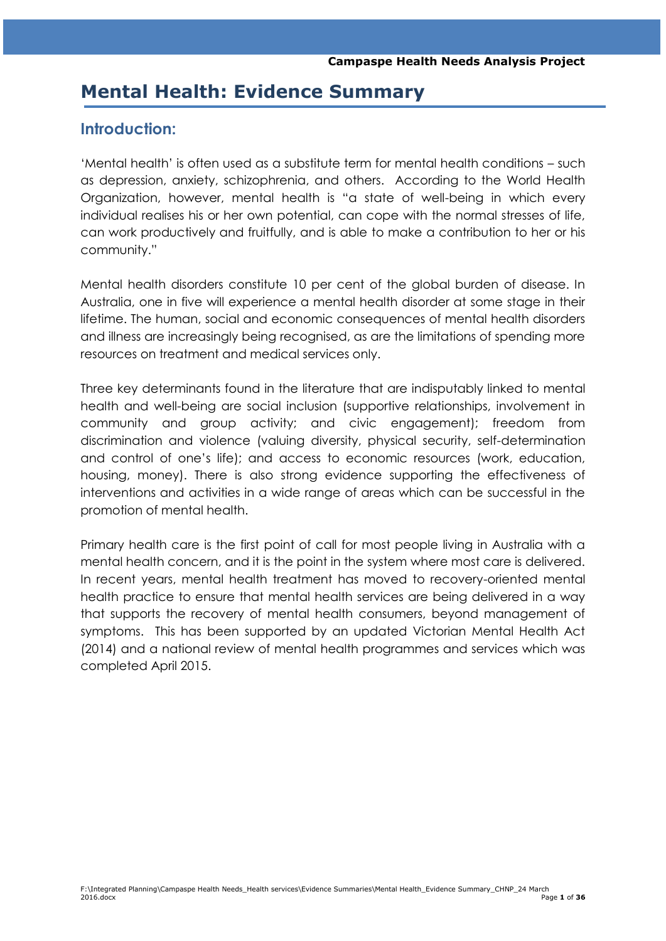# **Mental Health: Evidence Summary**

## **Introduction:**

"Mental health" is often used as a substitute term for mental health conditions – such as depression, anxiety, schizophrenia, and others. According to the World Health Organization, however, mental health is "a state of well-being in which every individual realises his or her own potential, can cope with the normal stresses of life, can work productively and fruitfully, and is able to make a contribution to her or his community."

Mental health disorders constitute 10 per cent of the global burden of disease. In Australia, one in five will experience a mental health disorder at some stage in their lifetime. The human, social and economic consequences of mental health disorders and illness are increasingly being recognised, as are the limitations of spending more resources on treatment and medical services only.

Three key determinants found in the literature that are indisputably linked to mental health and well-being are social inclusion (supportive relationships, involvement in community and group activity; and civic engagement); freedom from discrimination and violence (valuing diversity, physical security, self-determination and control of one"s life); and access to economic resources (work, education, housing, money). There is also strong evidence supporting the effectiveness of interventions and activities in a wide range of areas which can be successful in the promotion of mental health.

Primary health care is the first point of call for most people living in Australia with a mental health concern, and it is the point in the system where most care is delivered. In recent years, mental health treatment has moved to recovery-oriented mental health practice to ensure that mental health services are being delivered in a way that supports the recovery of mental health consumers, beyond management of symptoms. This has been supported by an updated Victorian Mental Health Act (2014) and a national review of mental health programmes and services which was completed April 2015.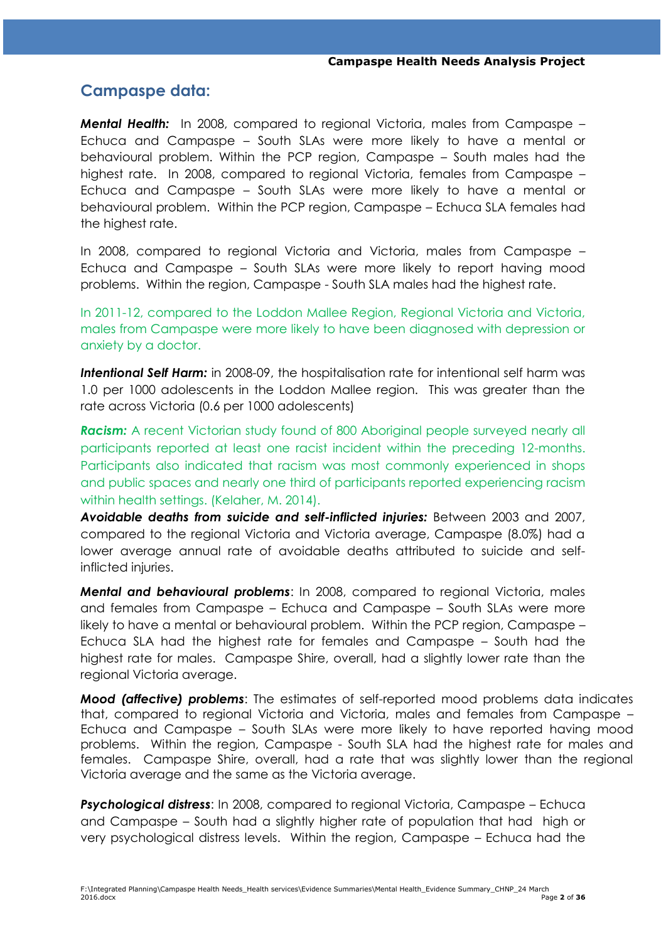## **Campaspe data:**

*Mental Health:* In 2008, compared to regional Victoria, males from Campaspe – Echuca and Campaspe – South SLAs were more likely to have a mental or behavioural problem. Within the PCP region, Campaspe – South males had the highest rate. In 2008, compared to regional Victoria, females from Campaspe – Echuca and Campaspe – South SLAs were more likely to have a mental or behavioural problem. Within the PCP region, Campaspe – Echuca SLA females had the highest rate.

In 2008, compared to regional Victoria and Victoria, males from Campaspe – Echuca and Campaspe – South SLAs were more likely to report having mood problems. Within the region, Campaspe - South SLA males had the highest rate.

In 2011-12, compared to the Loddon Mallee Region, Regional Victoria and Victoria, males from Campaspe were more likely to have been diagnosed with depression or anxiety by a doctor.

*Intentional Self Harm:* in 2008-09, the hospitalisation rate for intentional self harm was 1.0 per 1000 adolescents in the Loddon Mallee region. This was greater than the rate across Victoria (0.6 per 1000 adolescents)

**Racism:** A recent Victorian study found of 800 Aboriginal people surveyed nearly all participants reported at least one racist incident within the preceding 12-months. Participants also indicated that racism was most commonly experienced in shops and public spaces and nearly one third of participants reported experiencing racism within health settings. (Kelaher, M. 2014).

*Avoidable deaths from suicide and self-inflicted injuries:* Between 2003 and 2007, compared to the regional Victoria and Victoria average, Campaspe (8.0%) had a lower average annual rate of avoidable deaths attributed to suicide and selfinflicted injuries.

*Mental and behavioural problems*: In 2008, compared to regional Victoria, males and females from Campaspe – Echuca and Campaspe – South SLAs were more likely to have a mental or behavioural problem. Within the PCP region, Campaspe – Echuca SLA had the highest rate for females and Campaspe – South had the highest rate for males. Campaspe Shire, overall, had a slightly lower rate than the regional Victoria average.

*Mood (affective) problems*: The estimates of self-reported mood problems data indicates that, compared to regional Victoria and Victoria, males and females from Campaspe – Echuca and Campaspe – South SLAs were more likely to have reported having mood problems. Within the region, Campaspe - South SLA had the highest rate for males and females. Campaspe Shire, overall, had a rate that was slightly lower than the regional Victoria average and the same as the Victoria average.

*Psychological distress*: In 2008, compared to regional Victoria, Campaspe – Echuca and Campaspe – South had a slightly higher rate of population that had high or very psychological distress levels. Within the region, Campaspe – Echuca had the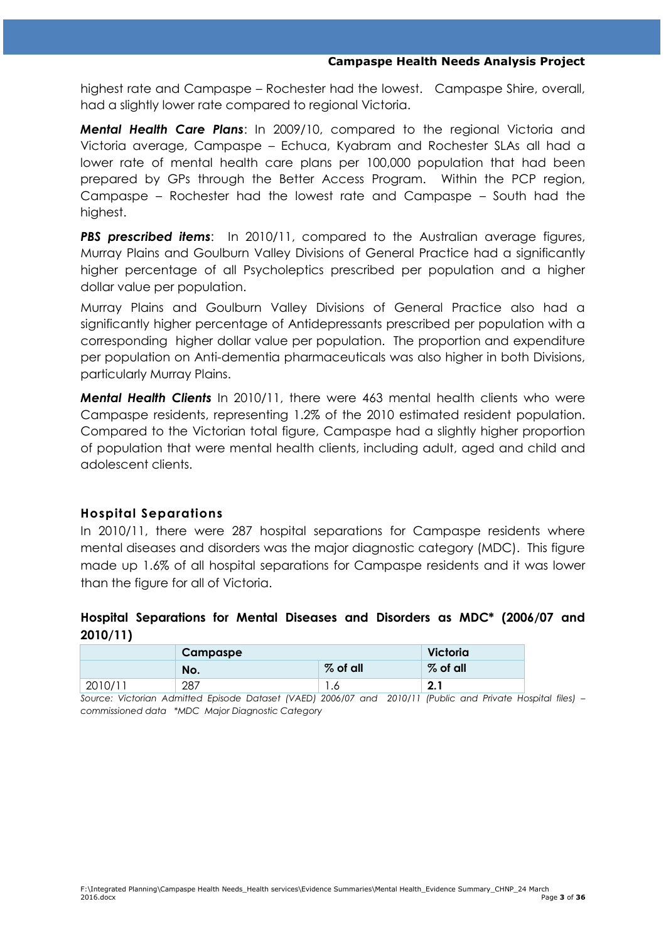highest rate and Campaspe – Rochester had the lowest. Campaspe Shire, overall, had a slightly lower rate compared to regional Victoria.

*Mental Health Care Plans*: In 2009/10, compared to the regional Victoria and Victoria average, Campaspe – Echuca, Kyabram and Rochester SLAs all had a lower rate of mental health care plans per 100,000 population that had been prepared by GPs through the Better Access Program. Within the PCP region, Campaspe – Rochester had the lowest rate and Campaspe – South had the highest.

**PBS prescribed items:** In 2010/11, compared to the Australian average figures, Murray Plains and Goulburn Valley Divisions of General Practice had a significantly higher percentage of all Psycholeptics prescribed per population and a higher dollar value per population.

Murray Plains and Goulburn Valley Divisions of General Practice also had a significantly higher percentage of Antidepressants prescribed per population with a corresponding higher dollar value per population. The proportion and expenditure per population on Anti-dementia pharmaceuticals was also higher in both Divisions, particularly Murray Plains.

*Mental Health Clients* In 2010/11, there were 463 mental health clients who were Campaspe residents, representing 1.2% of the 2010 estimated resident population. Compared to the Victorian total figure, Campaspe had a slightly higher proportion of population that were mental health clients, including adult, aged and child and adolescent clients.

#### **Hospital Separations**

In 2010/11, there were 287 hospital separations for Campaspe residents where mental diseases and disorders was the major diagnostic category (MDC). This figure made up 1.6% of all hospital separations for Campaspe residents and it was lower than the figure for all of Victoria.

## **Hospital Separations for Mental Diseases and Disorders as MDC\* (2006/07 and 2010/11)**

|         | <b>Campaspe</b> | Victoria   |             |
|---------|-----------------|------------|-------------|
|         | No.             | $%$ of all | $%$ of all  |
| 2010/11 | 287             | ه. ا       | י מ<br>z. I |

*Source: Victorian Admitted Episode Dataset (VAED) 2006/07 and 2010/11 (Public and Private Hospital files) – commissioned data \*MDC Major Diagnostic Category*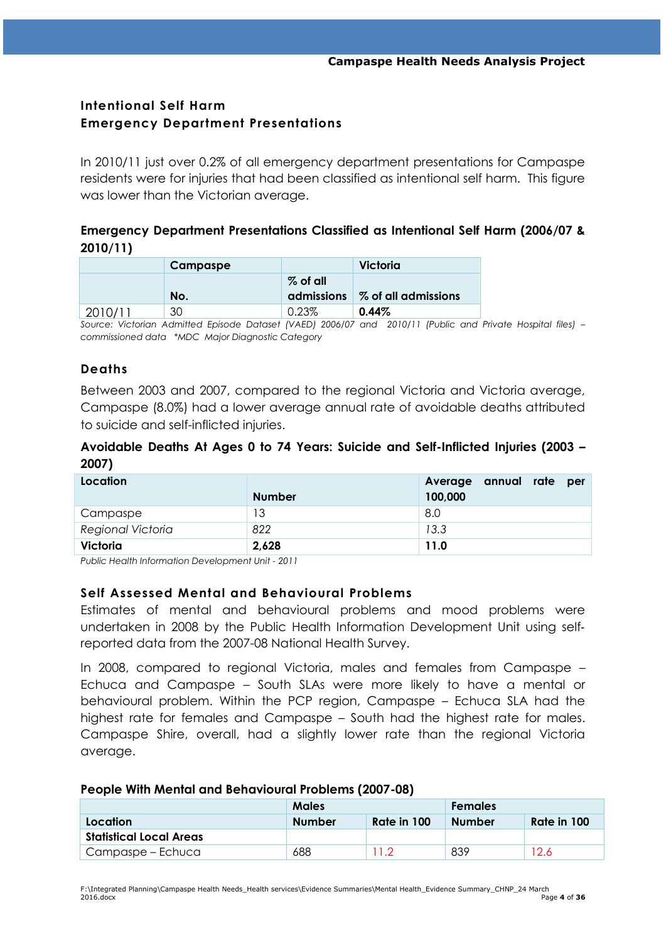## **Intentional Self Harm Emergency Department Presentations**

In 2010/11 just over 0.2% of all emergency department presentations for Campaspe residents were for injuries that had been classified as intentional self harm. This figure was lower than the Victorian average.

## **Emergency Department Presentations Classified as Intentional Self Harm (2006/07 & 2010/11)**

|         | Campaspe |                   | Victoria             |
|---------|----------|-------------------|----------------------|
|         |          | $\%$ of all       |                      |
|         | No.      | <b>admissions</b> | ∣% of all admissions |
| 2010/11 | 30       | 0.23%             | 0.44%                |

*Source: Victorian Admitted Episode Dataset (VAED) 2006/07 and 2010/11 (Public and Private Hospital files) – commissioned data \*MDC Major Diagnostic Category*

## **Deaths**

Between 2003 and 2007, compared to the regional Victoria and Victoria average, Campaspe (8.0%) had a lower average annual rate of avoidable deaths attributed to suicide and self-inflicted injuries.

## **Avoidable Deaths At Ages 0 to 74 Years: Suicide and Self-Inflicted Injuries (2003 – 2007)**

| Location          |               | annual rate<br>Average<br>per |
|-------------------|---------------|-------------------------------|
|                   | <b>Number</b> | 100,000                       |
| Campaspe          | 13            | 8.0                           |
| Regional Victoria | 822           | 13.3                          |
| Victoria          | 2,628         | 11.0                          |

*Public Health Information Development Unit - 2011*

## **Self Assessed Mental and Behavioural Problems**

Estimates of mental and behavioural problems and mood problems were undertaken in 2008 by the Public Health Information Development Unit using self‐ reported data from the 2007-08 National Health Survey.

In 2008, compared to regional Victoria, males and females from Campaspe – Echuca and Campaspe – South SLAs were more likely to have a mental or behavioural problem. Within the PCP region, Campaspe – Echuca SLA had the highest rate for females and Campaspe – South had the highest rate for males. Campaspe Shire, overall, had a slightly lower rate than the regional Victoria average.

#### **People With Mental and Behavioural Problems (2007-08)**

|                                | <b>Males</b>                 |  | <b>Females</b> |             |
|--------------------------------|------------------------------|--|----------------|-------------|
| Location                       | Rate in 100<br><b>Number</b> |  | <b>Number</b>  | Rate in 100 |
| <b>Statistical Local Areas</b> |                              |  |                |             |
| Campaspe – Echuca              | 688                          |  | 839            | '2.6        |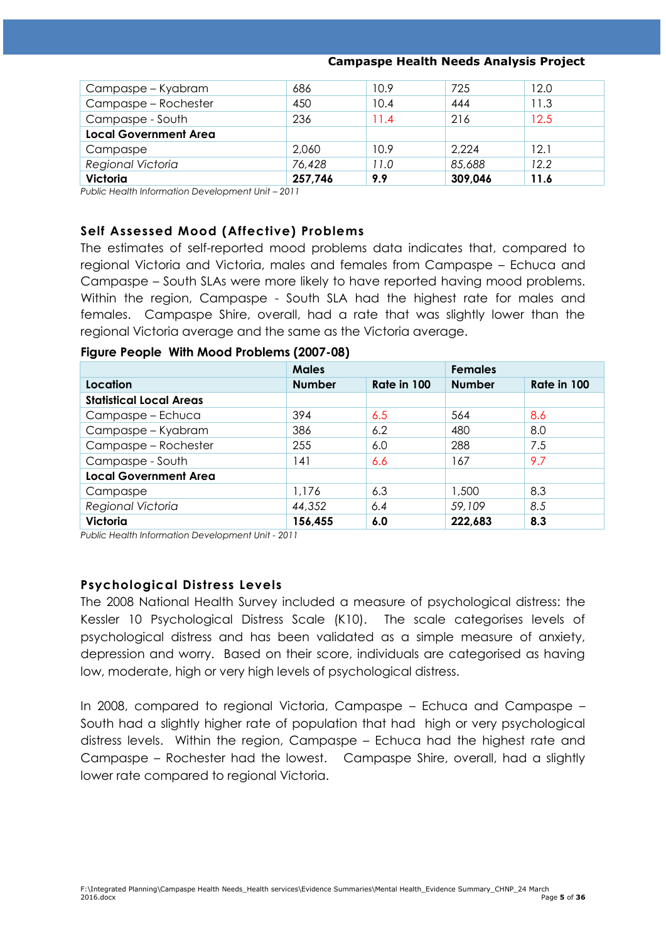#### **Campaspe Health Needs Analysis Project**

| Campaspe – Kyabram           | 686     | 10.9 | 725     | 12.0 |
|------------------------------|---------|------|---------|------|
| Campaspe - Rochester         | 450     | 10.4 | 444     | 11.3 |
| Campaspe - South             | 236     | 11.4 | 216     | 12.5 |
| <b>Local Government Area</b> |         |      |         |      |
| Campaspe                     | 2,060   | 10.9 | 2,224   | 12.1 |
| Regional Victoria            | 76,428  | 11.0 | 85,688  | 12.2 |
| Victoria                     | 257,746 | 9.9  | 309,046 | 11.6 |

*Public Health Information Development Unit - 2011* 

#### **Self Assessed Mood (Affective) Problems**

The estimates of self-reported mood problems data indicates that, compared to regional Victoria and Victoria, males and females from Campaspe – Echuca and Campaspe – South SLAs were more likely to have reported having mood problems. Within the region, Campaspe - South SLA had the highest rate for males and females. Campaspe Shire, overall, had a rate that was slightly lower than the regional Victoria average and the same as the Victoria average.

#### **Figure People With Mood Problems (2007-08)**

|                                | <b>Males</b>  |             | <b>Females</b> |             |
|--------------------------------|---------------|-------------|----------------|-------------|
| Location                       | <b>Number</b> | Rate in 100 | <b>Number</b>  | Rate in 100 |
| <b>Statistical Local Areas</b> |               |             |                |             |
| Campaspe - Echuca              | 394           | 6.5         | 564            | 8.6         |
| Campaspe - Kyabram             | 386           | 6.2         | 480            | 8.0         |
| Campaspe - Rochester           | 255           | 6.0         | 288            | 7.5         |
| Campaspe - South               | 141           | 6.6         | 167            | 9.7         |
| <b>Local Government Area</b>   |               |             |                |             |
| Campaspe                       | 1,176         | 6.3         | 1,500          | 8.3         |
| Regional Victoria              | 44,352        | 6.4         | 59,109         | 8.5         |
| <b>Victoria</b>                | 156,455       | 6.0         | 222,683        | 8.3         |

*Public Health Information Development Unit - 2011*

#### **Psychological Distress Levels**

The 2008 National Health Survey included a measure of psychological distress: the Kessler 10 Psychological Distress Scale (K10). The scale categorises levels of psychological distress and has been validated as a simple measure of anxiety, depression and worry. Based on their score, individuals are categorised as having low, moderate, high or very high levels of psychological distress.

In 2008, compared to regional Victoria, Campaspe – Echuca and Campaspe – South had a slightly higher rate of population that had high or very psychological distress levels. Within the region, Campaspe – Echuca had the highest rate and Campaspe – Rochester had the lowest. Campaspe Shire, overall, had a slightly lower rate compared to regional Victoria.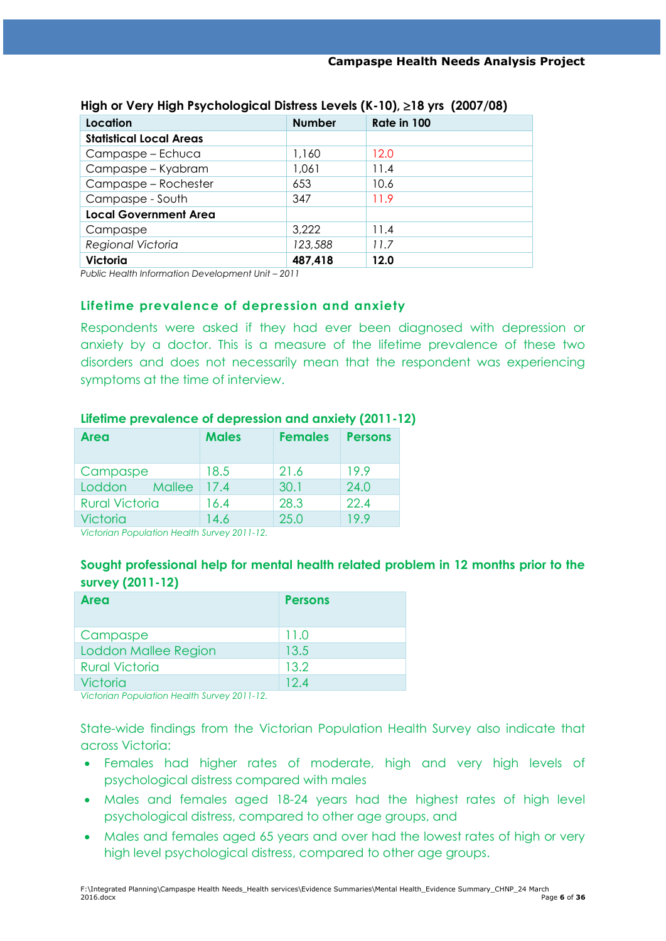| Location                       | <b>Number</b> | Rate in 100 |
|--------------------------------|---------------|-------------|
| <b>Statistical Local Areas</b> |               |             |
| Campaspe - Echuca              | 1,160         | 12.0        |
| Campaspe - Kyabram             | 1,061         | 11.4        |
| Campaspe - Rochester           | 653           | 10.6        |
| Campaspe - South               | 347           | 11.9        |
| <b>Local Government Area</b>   |               |             |
| Campaspe                       | 3,222         | 11.4        |
| Regional Victoria              | 123,588       | 11.7        |
| Victoria                       | 487,418       | 12.0        |

#### **High or Very High Psychological Distress Levels (K-10), 18 yrs (2007/08)**

*Public Health Information Development Unit - 2011* 

### **Lifetime prevalence of depression and anxiety**

Respondents were asked if they had ever been diagnosed with depression or anxiety by a doctor. This is a measure of the lifetime prevalence of these two disorders and does not necessarily mean that the respondent was experiencing symptoms at the time of interview.

| <b>Area</b>           | <b>Males</b> | <b>Females</b> | <b>Persons</b> |
|-----------------------|--------------|----------------|----------------|
| Campaspe              | 18.5         | 21.6           | 19.9           |
| Loddon<br>Mallee      | 17.4         | 30.1           | 24.0           |
| <b>Rural Victoria</b> | 16.4         | 28.3           | 22.4           |
| <b>Victoria</b>       | 14.6         | 25.0           | 19.9           |

#### **Lifetime prevalence of depression and anxiety (2011-12)**

*Victorian Population Health Survey 2011-12.* 

## **Sought professional help for mental health related problem in 12 months prior to the survey (2011-12)**

| <b>Area</b>           | <b>Persons</b> |
|-----------------------|----------------|
| Campaspe              | 11.0           |
| Loddon Mallee Region  | 13.5           |
| <b>Rural Victoria</b> | 13.2           |
| Victoria              | 124            |

*Victorian Population Health Survey 2011-12.* 

State-wide findings from the Victorian Population Health Survey also indicate that across Victoria:

- Females had higher rates of moderate, high and very high levels of psychological distress compared with males
- Males and females aged 18-24 years had the highest rates of high level psychological distress, compared to other age groups, and
- Males and females aged 65 years and over had the lowest rates of high or very high level psychological distress, compared to other age groups.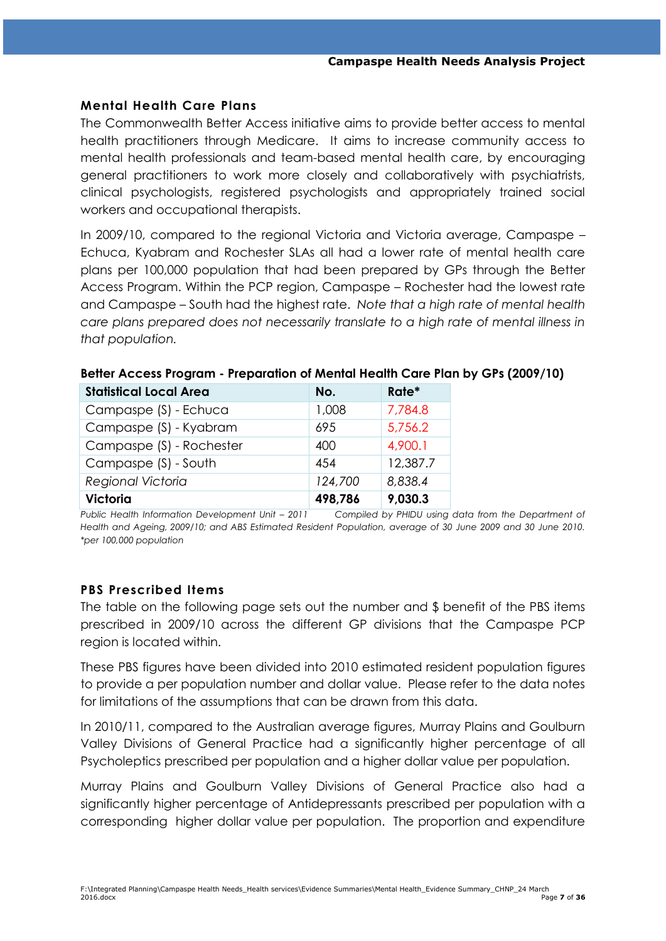#### **Mental Health Care Plans**

The Commonwealth Better Access initiative aims to provide better access to mental health practitioners through Medicare. It aims to increase community access to mental health professionals and team-based mental health care, by encouraging general practitioners to work more closely and collaboratively with psychiatrists, clinical psychologists, registered psychologists and appropriately trained social workers and occupational therapists.

In 2009/10, compared to the regional Victoria and Victoria average, Campaspe – Echuca, Kyabram and Rochester SLAs all had a lower rate of mental health care plans per 100,000 population that had been prepared by GPs through the Better Access Program. Within the PCP region, Campaspe – Rochester had the lowest rate and Campaspe – South had the highest rate. *Note that a high rate of mental health care plans prepared does not necessarily translate to a high rate of mental illness in that population.*

| <b>Statistical Local Area</b> | No.     | Rate*    |
|-------------------------------|---------|----------|
| Campaspe (S) - Echuca         | 1,008   | 7,784.8  |
| Campaspe (S) - Kyabram        | 695     | 5,756.2  |
| Campaspe (S) - Rochester      | 400     | 4,900.1  |
| Campaspe (S) - South          | 454     | 12,387.7 |
| Regional Victoria             | 124,700 | 8,838.4  |
| <b>Victoria</b>               | 498,786 | 9,030.3  |

#### **Better Access Program - Preparation of Mental Health Care Plan by GPs (2009/10)**

*Public Health Information Development Unit – 2011 Compiled by PHIDU using data from the Department of Health and Ageing, 2009/10; and ABS Estimated Resident Population, average of 30 June 2009 and 30 June 2010. \*per 100,000 population*

## **PBS Prescribed Items**

The table on the following page sets out the number and \$ benefit of the PBS items prescribed in 2009/10 across the different GP divisions that the Campaspe PCP region is located within.

These PBS figures have been divided into 2010 estimated resident population figures to provide a per population number and dollar value. Please refer to the data notes for limitations of the assumptions that can be drawn from this data.

In 2010/11, compared to the Australian average figures, Murray Plains and Goulburn Valley Divisions of General Practice had a significantly higher percentage of all Psycholeptics prescribed per population and a higher dollar value per population.

Murray Plains and Goulburn Valley Divisions of General Practice also had a significantly higher percentage of Antidepressants prescribed per population with a corresponding higher dollar value per population. The proportion and expenditure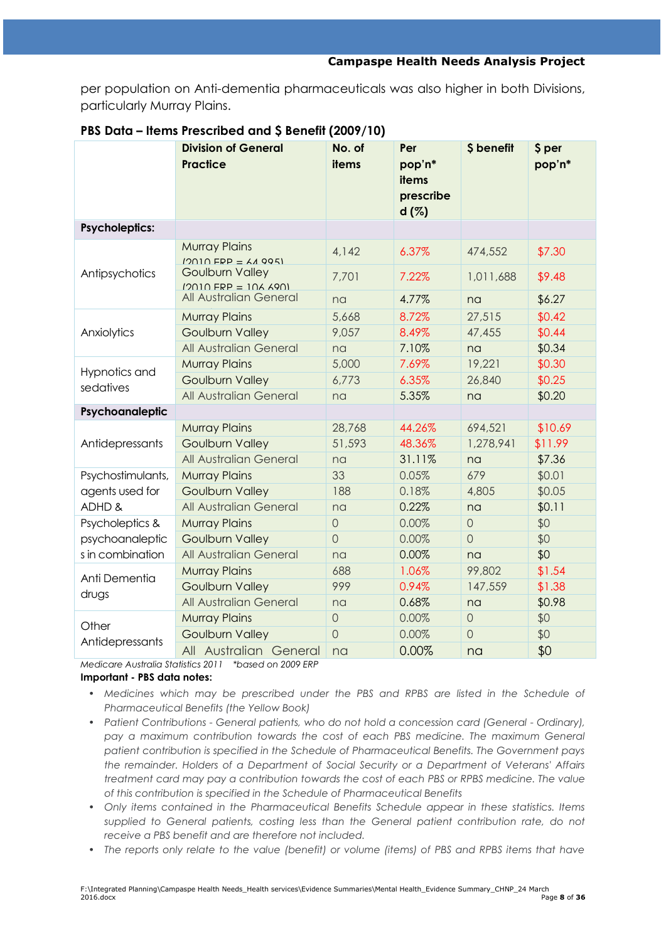per population on Anti-dementia pharmaceuticals was also higher in both Divisions, particularly Murray Plains.

|                       | <b>Division of General</b><br><b>Practice</b>      | No. of<br>items | Per<br>pop'n*<br>items<br>prescribe<br>d(%) | \$ benefit     | \$ per<br>pop'n* |
|-----------------------|----------------------------------------------------|-----------------|---------------------------------------------|----------------|------------------|
| <b>Psycholeptics:</b> |                                                    |                 |                                             |                |                  |
|                       | <b>Murray Plains</b><br>$12010$ FRP = $AA$ 995)    | 4,142           | 6.37%                                       | 474,552        | \$7.30           |
| Antipsychotics        | <b>Goulburn Valley</b><br>$12010$ FRP = $106$ 6901 | 7,701           | 7.22%                                       | 1,011,688      | \$9.48           |
|                       | All Australian General                             | na              | 4.77%                                       | na             | \$6.27           |
|                       | <b>Murray Plains</b>                               | 5,668           | 8.72%                                       | 27,515         | \$0.42           |
| Anxiolytics           | <b>Goulburn Valley</b>                             | 9,057           | 8.49%                                       | 47,455         | \$0.44           |
|                       | All Australian General                             | na              | 7.10%                                       | na             | \$0.34           |
| Hypnotics and         | <b>Murray Plains</b>                               | 5,000           | 7.69%                                       | 19,221         | \$0.30           |
| sedatives             | <b>Goulburn Valley</b>                             | 6,773           | 6.35%                                       | 26,840         | \$0.25           |
|                       | All Australian General                             | na              | 5.35%                                       | na             | \$0.20           |
| Psychoanaleptic       |                                                    |                 |                                             |                |                  |
|                       | <b>Murray Plains</b>                               | 28,768          | 44.26%                                      | 694,521        | \$10.69          |
| Antidepressants       | <b>Goulburn Valley</b>                             | 51,593          | 48.36%                                      | 1,278,941      | \$11.99          |
|                       | All Australian General                             | na              | 31.11%                                      | na             | \$7.36           |
| Psychostimulants,     | <b>Murray Plains</b>                               | 33              | 0.05%                                       | 679            | \$0.01           |
| agents used for       | <b>Goulburn Valley</b>                             | 188             | 0.18%                                       | 4,805          | \$0.05           |
| ADHD &                | All Australian General                             | na              | 0.22%                                       | na             | \$0.11           |
| Psycholeptics &       | <b>Murray Plains</b>                               | $\overline{O}$  | 0.00%                                       | $\overline{O}$ | \$0              |
| psychoanaleptic       | <b>Goulburn Valley</b>                             | $\overline{O}$  | 0.00%                                       | $\overline{O}$ | \$0              |
| s in combination      | All Australian General                             | na              | 0.00%                                       | na             | \$0              |
| Anti Dementia         | <b>Murray Plains</b>                               | 688             | 1.06%                                       | 99,802         | \$1.54           |
| drugs                 | <b>Goulburn Valley</b>                             | 999             | 0.94%                                       | 147,559        | \$1.38           |
|                       | All Australian General                             | na              | 0.68%                                       | na             | \$0.98           |
| Other                 | <b>Murray Plains</b>                               | $\overline{O}$  | 0.00%                                       | $\overline{O}$ | \$0              |
| Antidepressants       | <b>Goulburn Valley</b>                             | $\overline{O}$  | 0.00%                                       | $\overline{O}$ | \$0              |
|                       | All Australian General                             | na              | 0.00%                                       | na             | \$0              |

#### **PBS Data – Items Prescribed and \$ Benefit (2009/10)**

Practices *Medicare Australia Statistics 2011 \*based on 2009 ERP*

#### **Important - PBS data notes:**

- *Medicines which may be prescribed under the PBS and RPBS are listed in the Schedule of Pharmaceutical Benefits (the Yellow Book)*
- *Patient Contributions - General patients, who do not hold a concession card (General - Ordinary), pay a maximum contribution towards the cost of each PBS medicine. The maximum General patient contribution is specified in the Schedule of Pharmaceutical Benefits. The Government pays the remainder. Holders of a Department of Social Security or a Department of Veterans' Affairs treatment card may pay a contribution towards the cost of each PBS or RPBS medicine. The value of this contribution is specified in the Schedule of Pharmaceutical Benefits*
- *Only items contained in the Pharmaceutical Benefits Schedule appear in these statistics. Items supplied to General patients, costing less than the General patient contribution rate, do not receive a PBS benefit and are therefore not included.*
- *The reports only relate to the value (benefit) or volume (items) of PBS and RPBS items that have*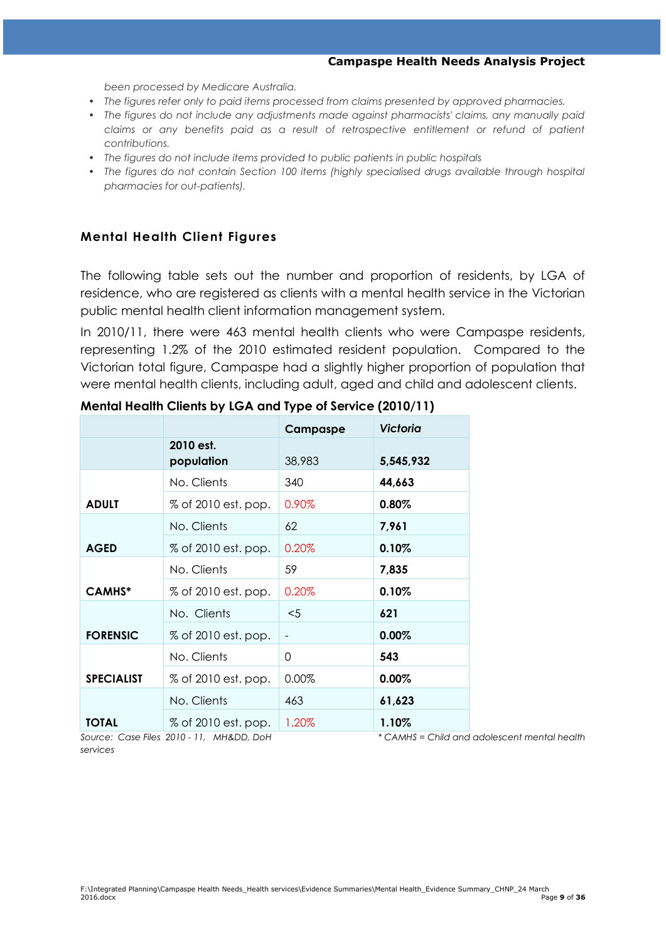#### **Campaspe Health Needs Analysis Project**

*been processed by Medicare Australia.*

- *The figures refer only to paid items processed from claims presented by approved pharmacies.*
- *The figures do not include any adjustments made against pharmacists' claims, any manually paid claims or any benefits paid as a result of retrospective entitlement or refund of patient contributions.*
- *The figures do not include items provided to public patients in public hospitals*
- *The figures do not contain Section 100 items (highly specialised drugs available through hospital pharmacies for out-patients).*

### **Mental Health Client Figures**

The following table sets out the number and proportion of residents, by LGA of residence, who are registered as clients with a mental health service in the Victorian public mental health client information management system.

In 2010/11, there were 463 mental health clients who were Campaspe residents, representing 1.2% of the 2010 estimated resident population. Compared to the Victorian total figure, Campaspe had a slightly higher proportion of population that were mental health clients, including adult, aged and child and adolescent clients.

|                   |                         | Campaspe          | Victoria  |
|-------------------|-------------------------|-------------------|-----------|
|                   | 2010 est.<br>population | 38,983            | 5,545,932 |
|                   | No. Clients             | 340               | 44,663    |
| <b>ADULT</b>      | % of 2010 est. pop.     | 0.90%             | 0.80%     |
|                   | No. Clients             | 62                | 7,961     |
| <b>AGED</b>       | % of 2010 est. pop.     | 0.20%             | 0.10%     |
|                   | No. Clients             | 59                | 7,835     |
| <b>CAMHS*</b>     | % of 2010 est. pop.     | 0.20%             | 0.10%     |
|                   | No. Clients             | $5$               | 621       |
| <b>FORENSIC</b>   | % of 2010 est. pop.     | $\qquad \qquad -$ | 0.00%     |
|                   | No. Clients             | 0                 | 543       |
| <b>SPECIALIST</b> | % of 2010 est. pop.     | 0.00%             | 0.00%     |
|                   | No. Clients             | 463               | 61,623    |
| <b>TOTAL</b>      | % of 2010 est. pop.     | 1.20%             | 1.10%     |

#### **Mental Health Clients by LGA and Type of Service (2010/11)**

*Source: Case Files 2010 - 11, MH&DD, DoH \* CAMHS = Child and adolescent mental health* 

*services*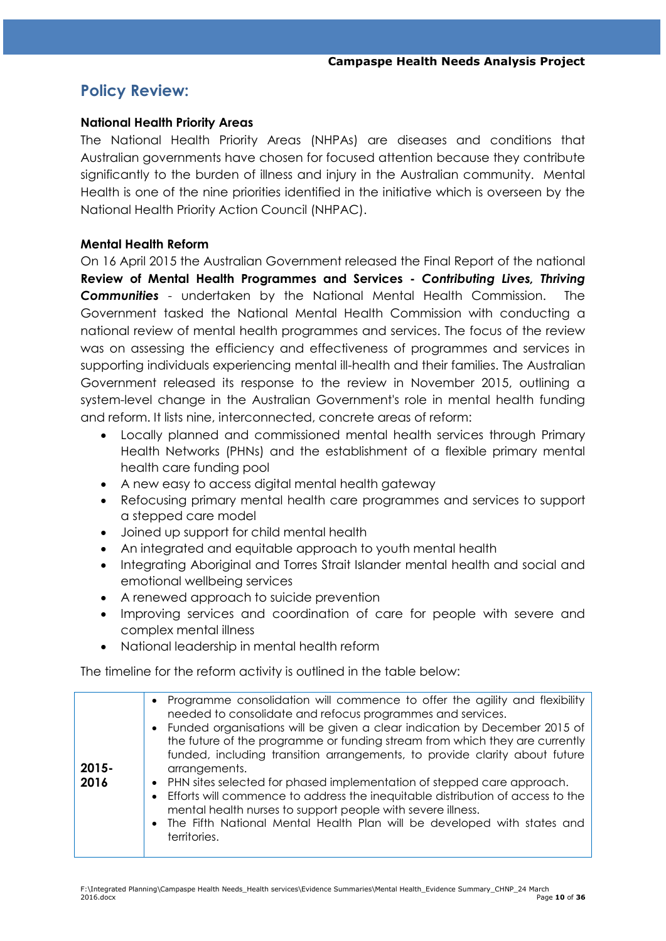## **Policy Review:**

#### **National Health Priority Areas**

The National Health Priority Areas (NHPAs) are diseases and conditions that Australian governments have chosen for focused attention because they contribute significantly to the burden of illness and injury in the Australian community. Mental Health is one of the nine priorities identified in the initiative which is overseen by the National Health Priority Action Council (NHPAC).

#### **Mental Health Reform**

On 16 April 2015 the Australian Government released the Final Report of the national **Review of Mental Health Programmes and Services -** *Contributing Lives, Thriving Communities* - undertaken by the National Mental Health Commission. The Government tasked the National Mental Health Commission with conducting a national review of mental health programmes and services. The focus of the review was on assessing the efficiency and effectiveness of programmes and services in supporting individuals experiencing mental ill-health and their families. The Australian Government released its response to the review in November 2015, outlining a system-level change in the Australian Government's role in mental health funding and reform. It lists nine, interconnected, concrete areas of reform:

- Locally planned and commissioned mental health services through Primary Health Networks (PHNs) and the establishment of a flexible primary mental health care funding pool
- A new easy to access digital mental health gateway
- Refocusing primary mental health care programmes and services to support a stepped care model
- Joined up support for child mental health
- An integrated and equitable approach to youth mental health
- Integrating Aboriginal and Torres Strait Islander mental health and social and emotional wellbeing services
- A renewed approach to suicide prevention
- Improving services and coordination of care for people with severe and complex mental illness
- National leadership in mental health reform

The timeline for the reform activity is outlined in the table below:

| $2015 -$<br>2016 | • Programme consolidation will commence to offer the agility and flexibility<br>needed to consolidate and refocus programmes and services.<br>• Funded organisations will be given a clear indication by December 2015 of<br>the future of the programme or funding stream from which they are currently<br>funded, including transition arrangements, to provide clarity about future<br>arrangements.<br>• PHN sites selected for phased implementation of stepped care approach.<br>Efforts will commence to address the inequitable distribution of access to the<br>$\bullet$<br>mental health nurses to support people with severe illness.<br>• The Fifth National Mental Health Plan will be developed with states and<br>territories. |
|------------------|------------------------------------------------------------------------------------------------------------------------------------------------------------------------------------------------------------------------------------------------------------------------------------------------------------------------------------------------------------------------------------------------------------------------------------------------------------------------------------------------------------------------------------------------------------------------------------------------------------------------------------------------------------------------------------------------------------------------------------------------|
|                  |                                                                                                                                                                                                                                                                                                                                                                                                                                                                                                                                                                                                                                                                                                                                                |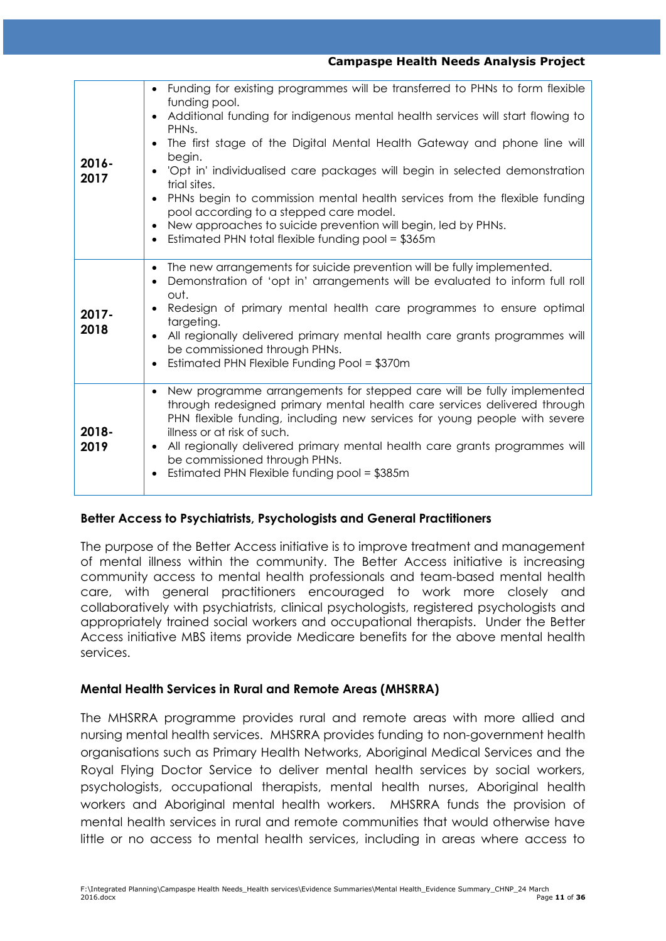| $2016 -$<br>2017 | Funding for existing programmes will be transferred to PHNs to form flexible<br>funding pool.<br>Additional funding for indigenous mental health services will start flowing to<br>$\bullet$<br>PHN <sub>s</sub> .<br>The first stage of the Digital Mental Health Gateway and phone line will<br>$\bullet$<br>begin.<br>'Opt in' individualised care packages will begin in selected demonstration<br>trial sites.<br>PHNs begin to commission mental health services from the flexible funding<br>pool according to a stepped care model.<br>New approaches to suicide prevention will begin, led by PHNs.<br>Estimated PHN total flexible funding pool = \$365m |
|------------------|--------------------------------------------------------------------------------------------------------------------------------------------------------------------------------------------------------------------------------------------------------------------------------------------------------------------------------------------------------------------------------------------------------------------------------------------------------------------------------------------------------------------------------------------------------------------------------------------------------------------------------------------------------------------|
| $2017 -$<br>2018 | The new arrangements for suicide prevention will be fully implemented.<br>$\bullet$<br>Demonstration of 'opt in' arrangements will be evaluated to inform full roll<br>out.<br>Redesign of primary mental health care programmes to ensure optimal<br>$\bullet$<br>targeting.<br>All regionally delivered primary mental health care grants programmes will<br>be commissioned through PHNs.<br>Estimated PHN Flexible Funding Pool = \$370m                                                                                                                                                                                                                       |
| 2018-<br>2019    | New programme arrangements for stepped care will be fully implemented<br>$\bullet$<br>through redesigned primary mental health care services delivered through<br>PHN flexible funding, including new services for young people with severe<br>illness or at risk of such.<br>All regionally delivered primary mental health care grants programmes will<br>be commissioned through PHNs.<br>Estimated PHN Flexible funding pool = \$385m                                                                                                                                                                                                                          |

#### **Campaspe Health Needs Analysis Project**

## **Better Access to Psychiatrists, Psychologists and General Practitioners**

The purpose of the Better Access initiative is to improve treatment and management of mental illness within the community. The Better Access initiative is increasing community access to mental health professionals and team-based mental health care, with general practitioners encouraged to work more closely and collaboratively with psychiatrists, clinical psychologists, registered psychologists and appropriately trained social workers and occupational therapists. Under the Better Access initiative MBS items provide Medicare benefits for the above mental health services.

#### **Mental Health Services in Rural and Remote Areas (MHSRRA)**

The MHSRRA programme provides rural and remote areas with more allied and nursing mental health services. MHSRRA provides funding to non-government health organisations such as Primary Health Networks, Aboriginal Medical Services and the Royal Flying Doctor Service to deliver mental health services by social workers, psychologists, occupational therapists, mental health nurses, Aboriginal health workers and Aboriginal mental health workers. MHSRRA funds the provision of mental health services in rural and remote communities that would otherwise have little or no access to mental health services, including in areas where access to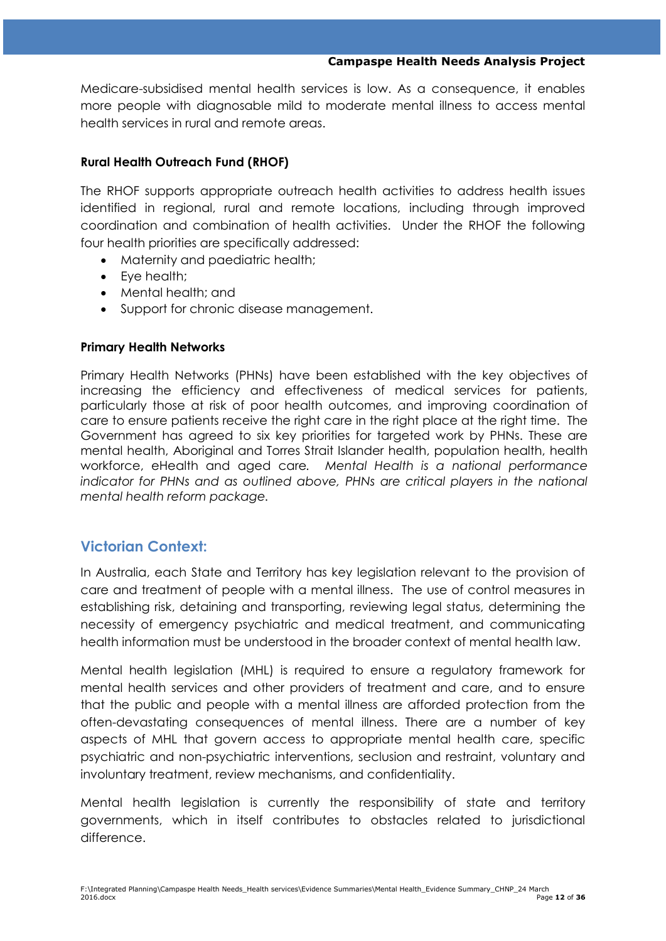#### **Campaspe Health Needs Analysis Project**

Medicare-subsidised mental health services is low. As a consequence, it enables more people with diagnosable mild to moderate mental illness to access mental health services in rural and remote areas.

### **Rural Health Outreach Fund (RHOF)**

The RHOF supports appropriate outreach health activities to address health issues identified in regional, rural and remote locations, including through improved coordination and combination of health activities. Under the RHOF the following four health priorities are specifically addressed:

- Maternity and paediatric health;
- Eve health:
- Mental health; and
- Support for chronic disease management.

#### **Primary Health Networks**

Primary Health Networks (PHNs) have been established with the key objectives of increasing the efficiency and effectiveness of medical services for patients, particularly those at risk of poor health outcomes, and improving coordination of care to ensure patients receive the right care in the right place at the right time. The Government has agreed to six key priorities for targeted work by PHNs. These are mental health, Aboriginal and Torres Strait Islander health, population health, health workforce, eHealth and aged care*. Mental Health is a national performance indicator for PHNs and as outlined above, PHNs are critical players in the national mental health reform package.*

## **Victorian Context:**

In Australia, each State and Territory has key legislation relevant to the provision of care and treatment of people with a mental illness. The use of control measures in establishing risk, detaining and transporting, reviewing legal status, determining the necessity of emergency psychiatric and medical treatment, and communicating health information must be understood in the broader context of mental health law.

Mental health legislation (MHL) is required to ensure a regulatory framework for mental health services and other providers of treatment and care, and to ensure that the public and people with a mental illness are afforded protection from the often-devastating consequences of mental illness. There are a number of key aspects of MHL that govern access to appropriate mental health care, specific psychiatric and non-psychiatric interventions, seclusion and restraint, voluntary and involuntary treatment, review mechanisms, and confidentiality.

Mental health legislation is currently the responsibility of state and territory governments, which in itself contributes to obstacles related to jurisdictional difference.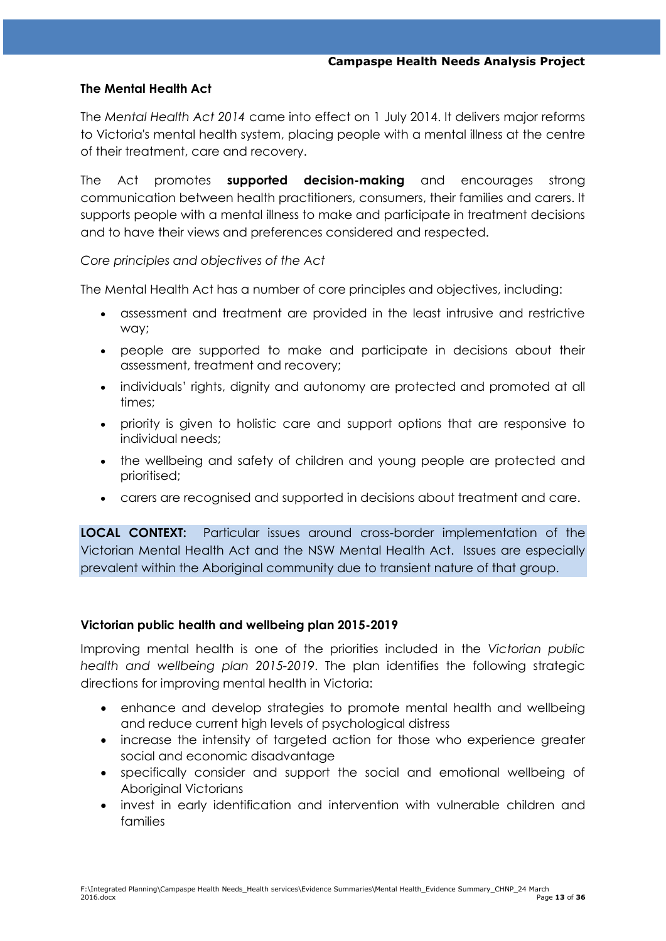#### **The Mental Health Act**

The *Mental Health Act 2014* came into effect on 1 July 2014. It delivers major reforms to Victoria's mental health system, placing people with a mental illness at the centre of their treatment, care and recovery.

The Act promotes **supported decision-making** and encourages strong communication between health practitioners, consumers, their families and carers. It supports people with a mental illness to make and participate in treatment decisions and to have their views and preferences considered and respected.

#### *Core principles and objectives of the Act*

The Mental Health Act has a number of core principles and objectives, including:

- assessment and treatment are provided in the least intrusive and restrictive way;
- people are supported to make and participate in decisions about their assessment, treatment and recovery;
- individuals' rights, dignity and autonomy are protected and promoted at all times;
- priority is given to holistic care and support options that are responsive to individual needs;
- the wellbeing and safety of children and young people are protected and prioritised;
- carers are recognised and supported in decisions about treatment and care.

**LOCAL CONTEXT:** Particular issues around cross-border implementation of the Victorian Mental Health Act and the NSW Mental Health Act. Issues are especially prevalent within the Aboriginal community due to transient nature of that group.

### **Victorian public health and wellbeing plan 2015-2019**

Improving mental health is one of the priorities included in the *[Victorian public](https://www2.health.vic.gov.au/about/health-strategies/public-health-wellbeing-plan)  [health and wellbeing plan 2015-2019](https://www2.health.vic.gov.au/about/health-strategies/public-health-wellbeing-plan)*. The plan identifies the following strategic directions for improving mental health in Victoria:

- enhance and develop strategies to promote mental health and wellbeing and reduce current high levels of psychological distress
- increase the intensity of targeted action for those who experience greater social and economic disadvantage
- specifically consider and support the social and emotional wellbeing of Aboriginal Victorians
- invest in early identification and intervention with vulnerable children and families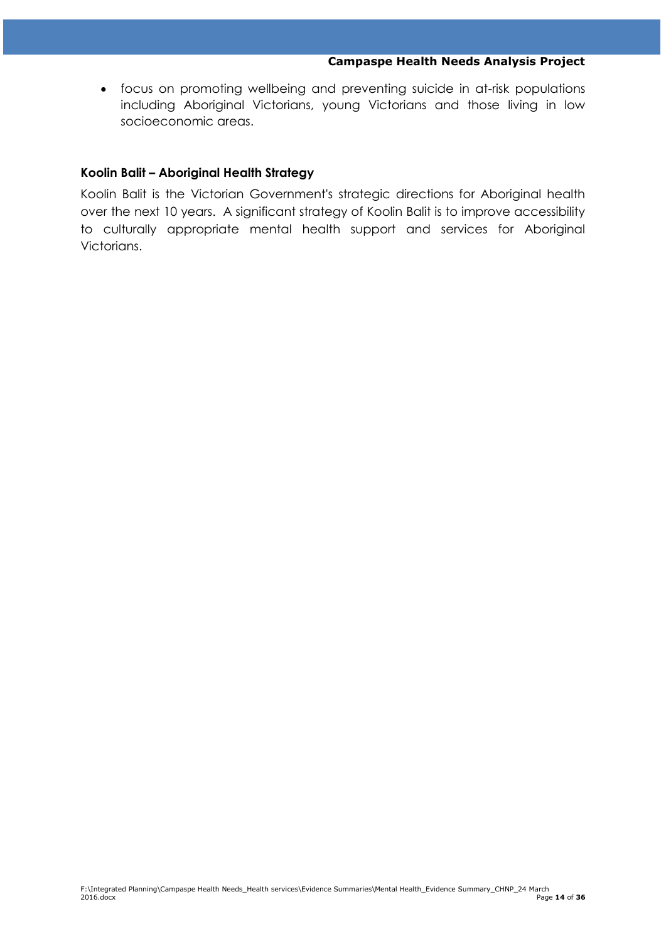focus on promoting wellbeing and preventing suicide in at-risk populations including Aboriginal Victorians, young Victorians and those living in low socioeconomic areas.

#### **Koolin Balit – Aboriginal Health Strategy**

Koolin Balit is the Victorian Government's strategic directions for Aboriginal health over the next 10 years. A significant strategy of Koolin Balit is to improve accessibility to culturally appropriate mental health support and services for Aboriginal Victorians.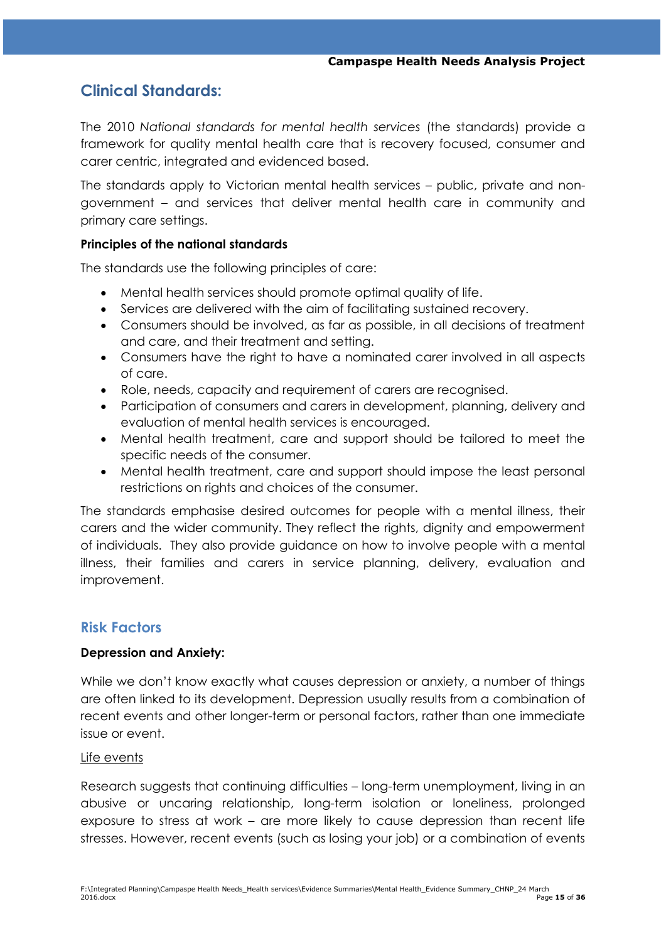## **Clinical Standards:**

The 2010 *National standards for mental health services* (the standards) provide a framework for quality mental health care that is recovery focused, consumer and carer centric, integrated and evidenced based.

The standards apply to Victorian mental health services – public, private and nongovernment – and services that deliver mental health care in community and primary care settings.

#### **Principles of the national standards**

The standards use the following principles of care:

- Mental health services should promote optimal quality of life.
- Services are delivered with the aim of facilitating sustained recovery.
- Consumers should be involved, as far as possible, in all decisions of treatment and care, and their treatment and setting.
- Consumers have the right to have a nominated carer involved in all aspects of care.
- Role, needs, capacity and requirement of carers are recognised.
- Participation of consumers and carers in development, planning, delivery and evaluation of mental health services is encouraged.
- Mental health treatment, care and support should be tailored to meet the specific needs of the consumer.
- Mental health treatment, care and support should impose the least personal restrictions on rights and choices of the consumer.

The standards emphasise desired outcomes for people with a mental illness, their carers and the wider community. They reflect the rights, dignity and empowerment of individuals. They also provide guidance on how to involve people with a mental illness, their families and carers in service planning, delivery, evaluation and improvement.

## **Risk Factors**

#### **Depression and Anxiety:**

While we don't know exactly what causes depression or anxiety, a number of things are often linked to its development. Depression usually results from a combination of recent events and other longer-term or personal factors, rather than one immediate issue or event.

#### Life events

Research suggests that continuing difficulties – long-term unemployment, living in an abusive or uncaring relationship, long-term isolation or loneliness, prolonged exposure to stress at work – are more likely to cause depression than recent life stresses. However, recent events (such as losing your job) or a combination of events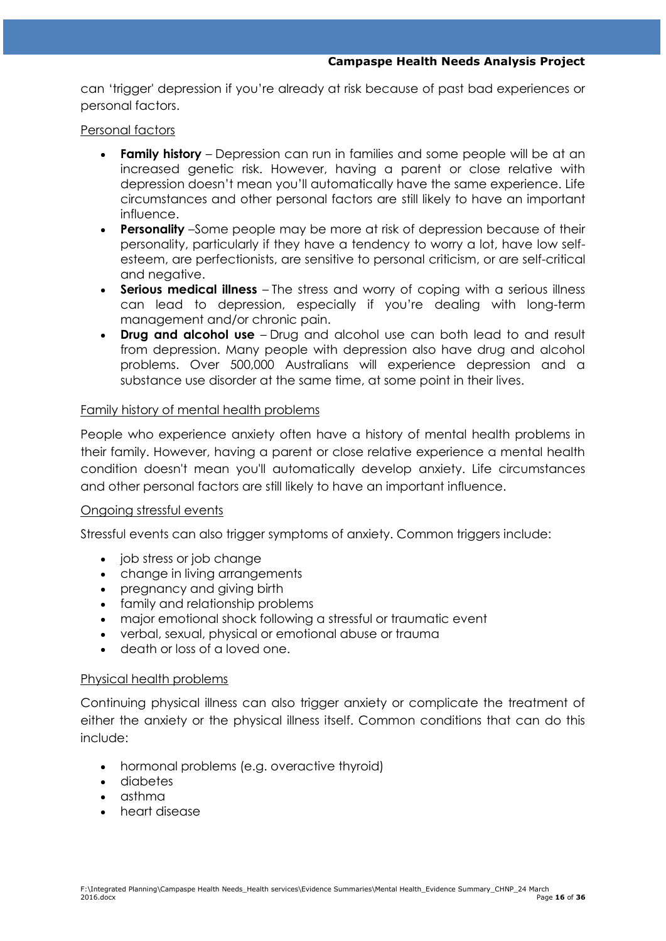can "trigger' depression if you"re already at risk because of past bad experiences or personal factors.

#### Personal factors

- **Family history** Depression can run in families and some people will be at an increased genetic risk. However, having a parent or close relative with depression doesn"t mean you"ll automatically have the same experience. Life circumstances and other personal factors are still likely to have an important influence.
- **Personality** –Some people may be more at risk of depression because of their personality, particularly if they have a tendency to worry a lot, have low selfesteem, are perfectionists, are sensitive to personal criticism, or are self-critical and negative.
- **Serious medical illness**  The stress and worry of coping with a serious illness can lead to depression, especially if you"re dealing with long-term management and/or chronic pain.
- **Drug and alcohol use**  Drug and alcohol use can both lead to and result from depression. Many people with depression also have drug and alcohol problems. Over 500,000 Australians will experience depression and a substance use disorder at the same time, at some point in their lives.

#### Family history of mental health problems

People who experience anxiety often have a history of mental health problems in their family. However, having a parent or close relative experience a mental health condition doesn't mean you'll automatically develop anxiety. Life circumstances and other personal factors are still likely to have an important influence.

#### Ongoing stressful events

Stressful events can also trigger symptoms of anxiety. Common triggers include:

- job stress or job change
- change in living arrangements
- pregnancy and giving birth
- family and relationship problems
- major emotional shock following a stressful or traumatic event
- verbal, sexual, physical or emotional abuse or trauma
- death or loss of a loved one.

#### Physical health problems

Continuing physical illness can also trigger anxiety or complicate the treatment of either the anxiety or the physical illness itself. Common conditions that can do this include:

- hormonal problems (e.g. overactive thyroid)
- diabetes
- asthma
- heart disease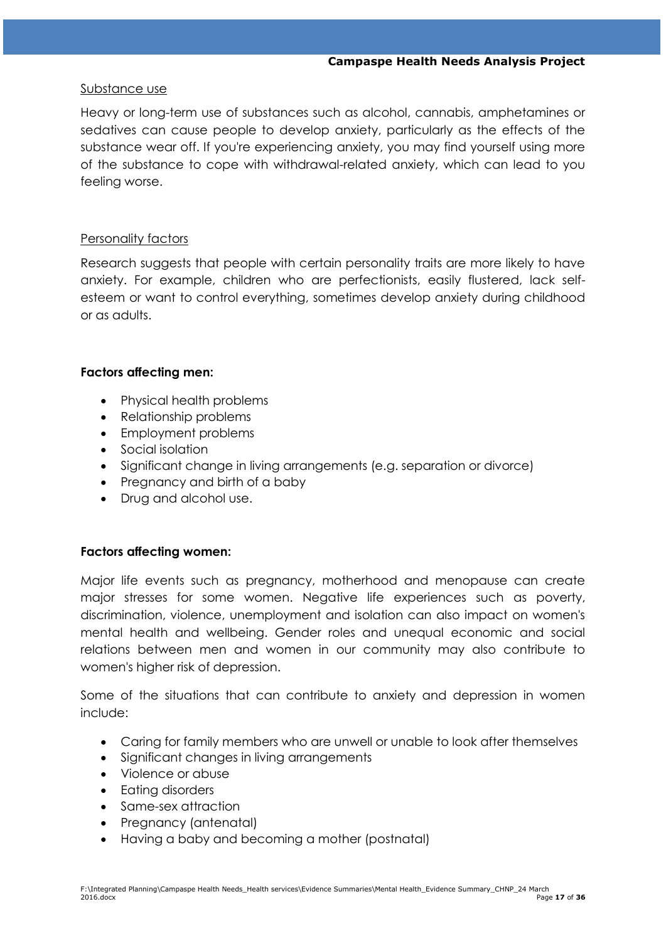#### Substance use

Heavy or long-term use of substances such as alcohol, cannabis, amphetamines or sedatives can cause people to develop anxiety, particularly as the effects of the substance wear off. If you're experiencing anxiety, you may find yourself using more of the substance to cope with withdrawal-related anxiety, which can lead to you feeling worse.

#### Personality factors

Research suggests that people with certain personality traits are more likely to have anxiety. For example, children who are perfectionists, easily flustered, lack selfesteem or want to control everything, sometimes develop anxiety during childhood or as adults.

#### **Factors affecting men:**

- Physical health problems
- Relationship problems
- Employment problems
- Social isolation
- Significant change in living arrangements (e.g. separation or divorce)
- Pregnancy and birth of a baby
- Drug and alcohol use.

#### **Factors affecting women:**

Major life events such as pregnancy, motherhood and menopause can create major stresses for some women. Negative life experiences such as poverty, discrimination, violence, unemployment and isolation can also impact on women's mental health and wellbeing. Gender roles and unequal economic and social relations between men and women in our community may also contribute to women's higher risk of depression.

Some of the situations that can contribute to anxiety and depression in women include:

- Caring for family members who are unwell or unable to look after themselves
- Significant changes in living arrangements
- Violence or abuse
- Fating disorders
- Same-sex attraction
- Pregnancy (antenatal)
- Having a baby and becoming a mother (postnatal)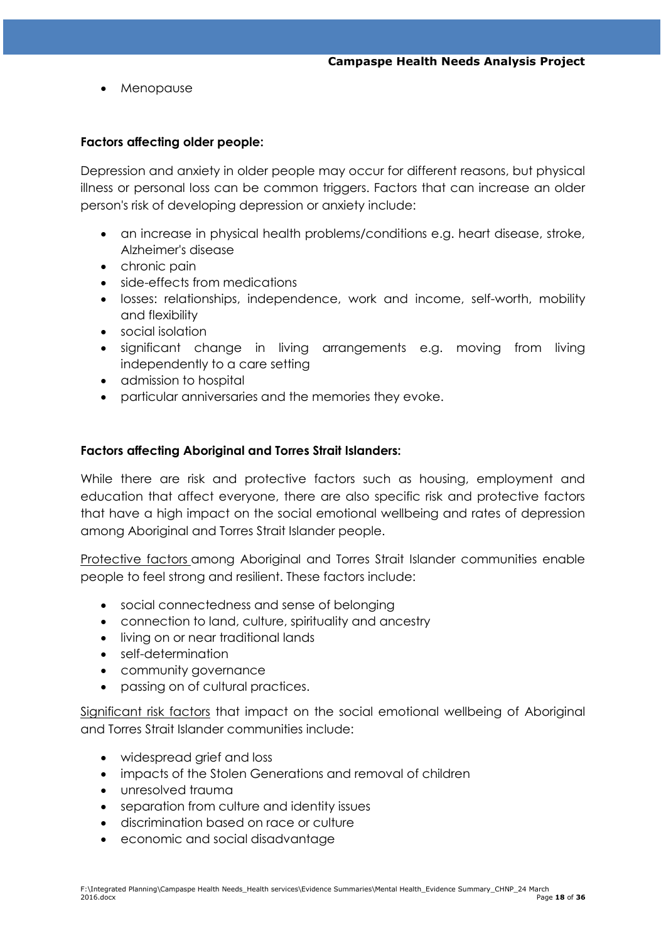Menopause

#### **Factors affecting older people:**

Depression and anxiety in older people may occur for different reasons, but physical illness or personal loss can be common triggers. Factors that can increase an older person's risk of developing depression or anxiety include:

- an increase in physical health problems/conditions e.g. heart disease, stroke, Alzheimer's disease
- chronic pain
- side-effects from medications
- losses: relationships, independence, work and income, self-worth, mobility and flexibility
- social isolation
- significant change in living arrangements e.g. moving from living independently to a care setting
- admission to hospital
- particular anniversaries and the memories they evoke.

#### **Factors affecting Aboriginal and Torres Strait Islanders:**

While there are risk and protective factors such as housing, employment and education that affect everyone, there are also specific risk and protective factors that have a high impact on the social emotional wellbeing and rates of depression among Aboriginal and Torres Strait Islander people.

Protective factors among Aboriginal and Torres Strait Islander communities enable people to feel strong and resilient. These factors include:

- social connectedness and sense of belonging
- connection to land, culture, spirituality and ancestry
- living on or near traditional lands
- self-determination
- community governance
- passing on of cultural practices.

Significant risk factors that impact on the social emotional wellbeing of Aboriginal and Torres Strait Islander communities include:

- widespread grief and loss
- impacts of the Stolen Generations and removal of children
- unresolved trauma
- separation from culture and identity issues
- discrimination based on race or culture
- economic and social disadvantage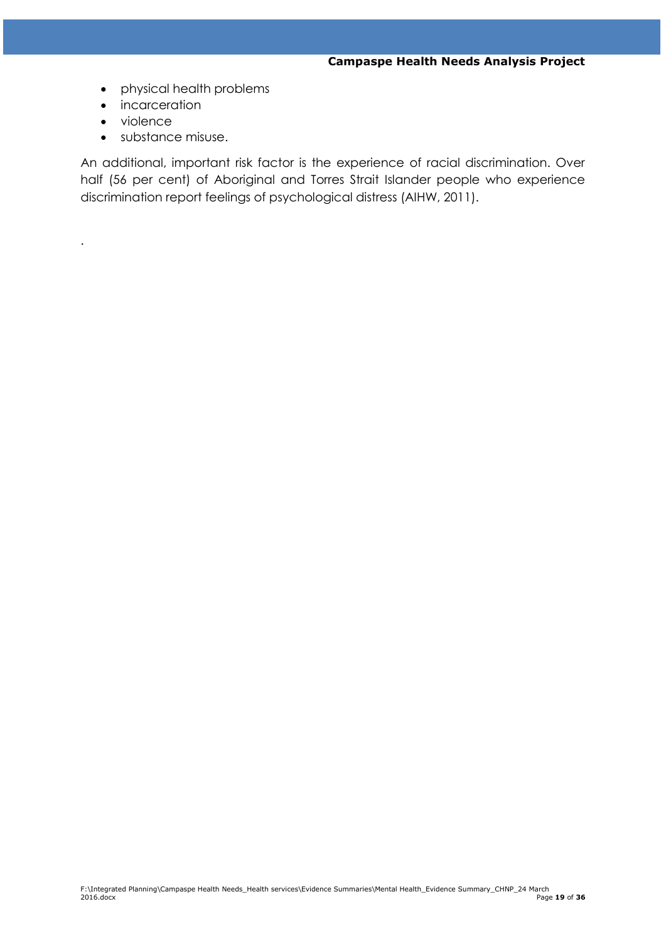- physical health problems
- **•** incarceration
- violence

.

substance misuse.

An additional, important risk factor is the experience of racial discrimination. Over half (56 per cent) of Aboriginal and Torres Strait Islander people who experience discrimination report feelings of psychological distress (AIHW, 2011).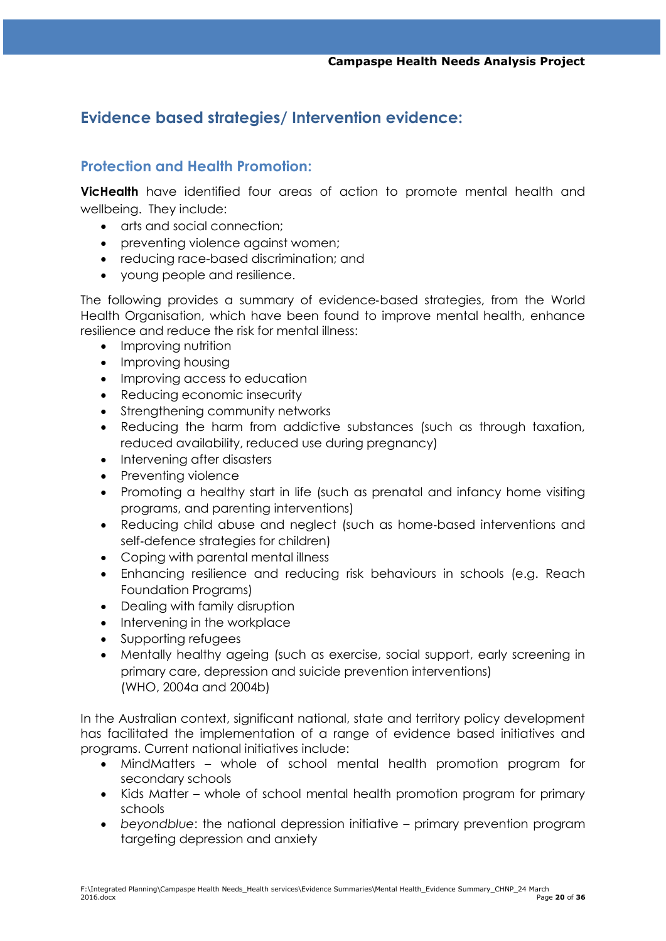## **Evidence based strategies/ Intervention evidence:**

## **Protection and Health Promotion:**

**VicHealth** have identified four areas of action to promote mental health and wellbeing. They include:

- arts and social connection;
- preventing violence against women;
- reducing race-based discrimination; and
- young people and resilience.

The following provides a summary of evidence‐based strategies, from the World Health Organisation, which have been found to improve mental health, enhance resilience and reduce the risk for mental illness:

- Improving nutrition
- Improving housing
- Improving access to education
- Reducing economic insecurity
- Strengthening community networks
- Reducing the harm from addictive substances (such as through taxation, reduced availability, reduced use during pregnancy)
- Intervening after disasters
- Preventing violence
- Promoting a healthy start in life (such as prenatal and infancy home visiting programs, and parenting interventions)
- Reducing child abuse and neglect (such as home-based interventions and self‐defence strategies for children)
- Coping with parental mental illness
- Enhancing resilience and reducing risk behaviours in schools (e.g. Reach Foundation Programs)
- Dealing with family disruption
- Intervening in the workplace
- Supporting refugees
- Mentally healthy ageing (such as exercise, social support, early screening in primary care, depression and suicide prevention interventions) (WHO, 2004a and 2004b)

In the Australian context, significant national, state and territory policy development has facilitated the implementation of a range of evidence based initiatives and programs. Current national initiatives include:

- MindMatters whole of school mental health promotion program for secondary schools
- Kids Matter whole of school mental health promotion program for primary schools
- *beyondblue*: the national depression initiative primary prevention program targeting depression and anxiety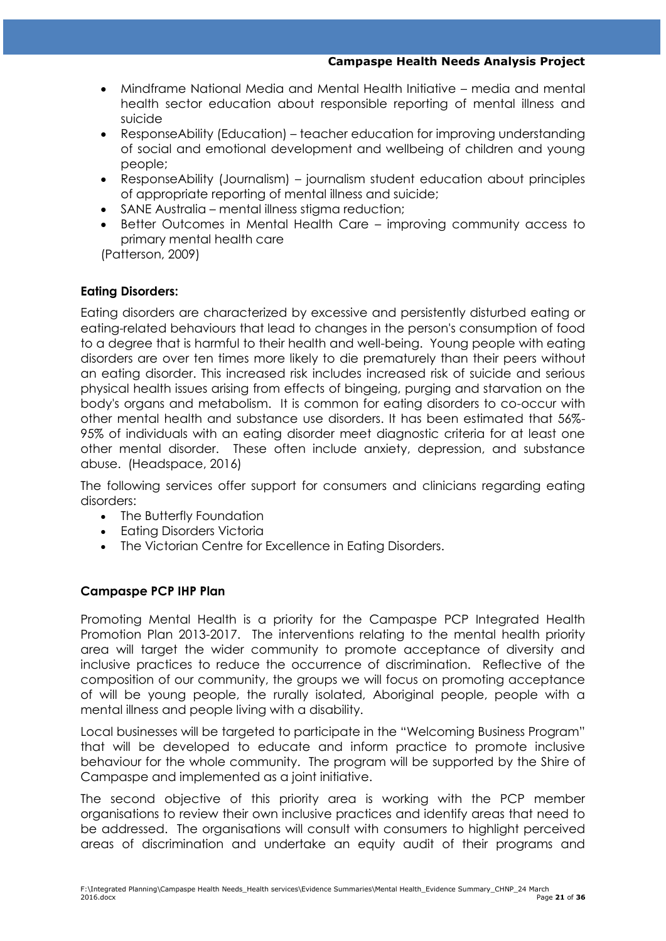- Mindframe National Media and Mental Health Initiative media and mental health sector education about responsible reporting of mental illness and suicide
- ResponseAbility (Education) teacher education for improving understanding of social and emotional development and wellbeing of children and young people;
- ResponseAbility (Journalism) journalism student education about principles of appropriate reporting of mental illness and suicide;
- SANE Australia mental illness stigma reduction;
- Better Outcomes in Mental Health Care improving community access to primary mental health care

(Patterson, 2009)

### **Eating Disorders:**

Eating disorders are characterized by excessive and persistently disturbed eating or eating-related behaviours that lead to changes in the person's consumption of food to a degree that is harmful to their health and well-being. Young people with eating disorders are over ten times more likely to die prematurely than their peers without an eating disorder. This increased risk includes increased risk of suicide and serious physical health issues arising from effects of bingeing, purging and starvation on the body's organs and metabolism. It is common for eating disorders to co-occur with other mental health and substance use disorders. It has been estimated that 56%- 95% of individuals with an eating disorder meet diagnostic criteria for at least one other mental disorder. These often include anxiety, depression, and substance abuse. (Headspace, 2016)

The following services offer support for consumers and clinicians regarding eating disorders:

- The Butterfly Foundation
- Eating Disorders Victoria
- The Victorian Centre for Excellence in Eating Disorders.

#### **Campaspe PCP IHP Plan**

Promoting Mental Health is a priority for the Campaspe PCP Integrated Health Promotion Plan 2013-2017. The interventions relating to the mental health priority area will target the wider community to promote acceptance of diversity and inclusive practices to reduce the occurrence of discrimination. Reflective of the composition of our community, the groups we will focus on promoting acceptance of will be young people, the rurally isolated, Aboriginal people, people with a mental illness and people living with a disability.

Local businesses will be targeted to participate in the "Welcoming Business Program" that will be developed to educate and inform practice to promote inclusive behaviour for the whole community. The program will be supported by the Shire of Campaspe and implemented as a joint initiative.

The second objective of this priority area is working with the PCP member organisations to review their own inclusive practices and identify areas that need to be addressed. The organisations will consult with consumers to highlight perceived areas of discrimination and undertake an equity audit of their programs and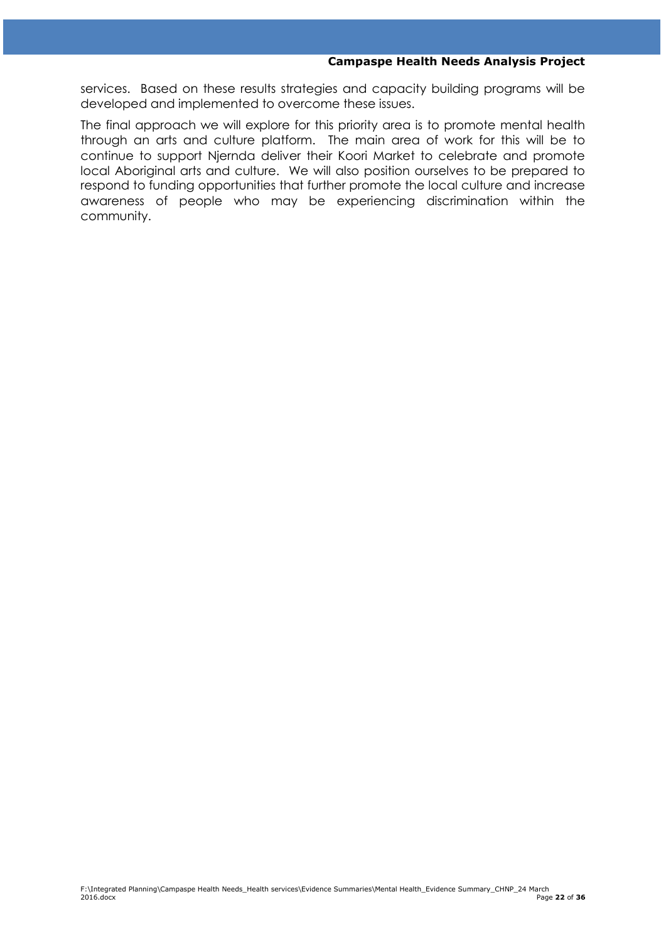services. Based on these results strategies and capacity building programs will be developed and implemented to overcome these issues.

The final approach we will explore for this priority area is to promote mental health through an arts and culture platform. The main area of work for this will be to continue to support Njernda deliver their Koori Market to celebrate and promote local Aboriginal arts and culture. We will also position ourselves to be prepared to respond to funding opportunities that further promote the local culture and increase awareness of people who may be experiencing discrimination within the community.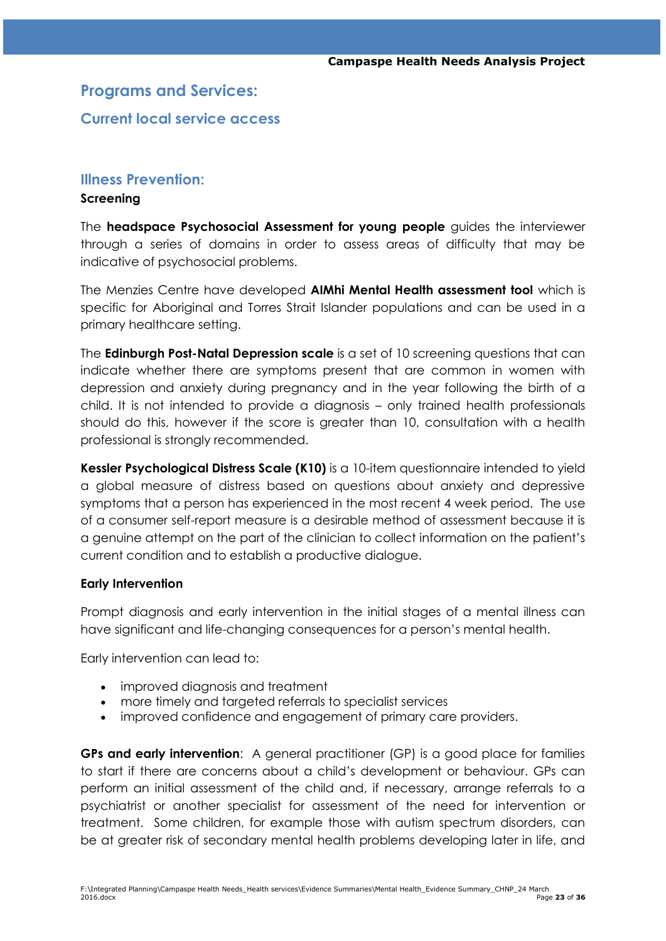## **Programs and Services:**

## **Current local service access**

#### **Illness Prevention:**

#### **Screening**

The **headspace Psychosocial Assessment for young people** guides the interviewer through a series of domains in order to assess areas of difficulty that may be indicative of psychosocial problems.

The Menzies Centre have developed **AIMhi Mental Health assessment tool** which is specific for Aboriginal and Torres Strait Islander populations and can be used in a primary healthcare setting.

The **Edinburgh Post-Natal Depression scale** is a set of 10 screening questions that can indicate whether there are symptoms present that are common in women with depression and anxiety during pregnancy and in the year following the birth of a child. It is not intended to provide a diagnosis – only trained health professionals should do this, however if the score is greater than 10, consultation with a health professional is strongly recommended.

**Kessler Psychological Distress Scale (K10)** is a 10-item questionnaire intended to yield a global measure of distress based on questions about anxiety and depressive symptoms that a person has experienced in the most recent 4 week period. The use of a consumer self-report measure is a desirable method of assessment because it is a genuine attempt on the part of the clinician to collect information on the patient"s current condition and to establish a productive dialogue.

#### **Early Intervention**

Prompt diagnosis and early intervention in the initial stages of a mental illness can have significant and life-changing consequences for a person"s mental health.

Early intervention can lead to:

- improved diagnosis and treatment
- more timely and targeted referrals to specialist services
- improved confidence and engagement of primary care providers.

**GPs and early intervention**: A general practitioner (GP) is a good place for families to start if there are concerns about a child"s development or behaviour. GPs can perform an initial assessment of the child and, if necessary, arrange referrals to a psychiatrist or another specialist for assessment of the need for intervention or treatment. Some children, for example those with autism spectrum disorders, can be at greater risk of secondary mental health problems developing later in life, and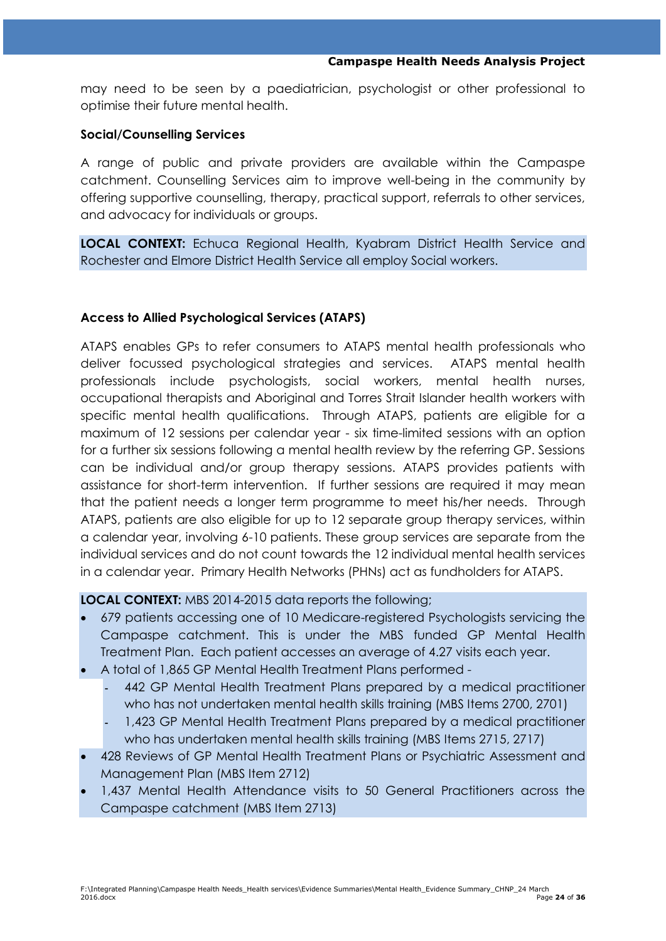may need to be seen by a paediatrician, psychologist or other professional to optimise their future mental health.

#### **Social/Counselling Services**

A range of public and private providers are available within the Campaspe catchment. Counselling Services aim to improve well-being in the community by offering supportive counselling, therapy, practical support, referrals to other services, and advocacy for individuals or groups.

**LOCAL CONTEXT:** Echuca Regional Health, Kyabram District Health Service and Rochester and Elmore District Health Service all employ Social workers.

### **Access to Allied Psychological Services (ATAPS)**

ATAPS enables GPs to refer consumers to ATAPS mental health professionals who deliver focussed psychological strategies and services. ATAPS mental health professionals include psychologists, social workers, mental health nurses, occupational therapists and Aboriginal and Torres Strait Islander health workers with specific mental health qualifications. Through ATAPS, patients are eligible for a maximum of 12 sessions per calendar year - six time-limited sessions with an option for a further six sessions following a mental health review by the referring GP. Sessions can be individual and/or group therapy sessions. ATAPS provides patients with assistance for short-term intervention. If further sessions are required it may mean that the patient needs a longer term programme to meet his/her needs. Through ATAPS, patients are also eligible for up to 12 separate group therapy services, within a calendar year, involving 6-10 patients. These group services are separate from the individual services and do not count towards the 12 individual mental health services in a calendar year. Primary Health Networks (PHNs) act as fundholders for ATAPS.

**LOCAL CONTEXT:** MBS 2014-2015 data reports the following;

- 679 patients accessing one of 10 Medicare-registered Psychologists servicing the Campaspe catchment. This is under the MBS funded GP Mental Health Treatment Plan. Each patient accesses an average of 4.27 visits each year.
- A total of 1,865 GP Mental Health Treatment Plans performed
	- 442 GP Mental Health Treatment Plans prepared by a medical practitioner
	- who has not undertaken mental health skills training (MBS Items 2700, 2701)
	- 1,423 GP Mental Health Treatment Plans prepared by a medical practitioner who has undertaken mental health skills training (MBS Items 2715, 2717)
- 428 Reviews of GP Mental Health Treatment Plans or Psychiatric Assessment and Management Plan (MBS Item 2712)
- 1,437 Mental Health Attendance visits to 50 General Practitioners across the Campaspe catchment (MBS Item 2713)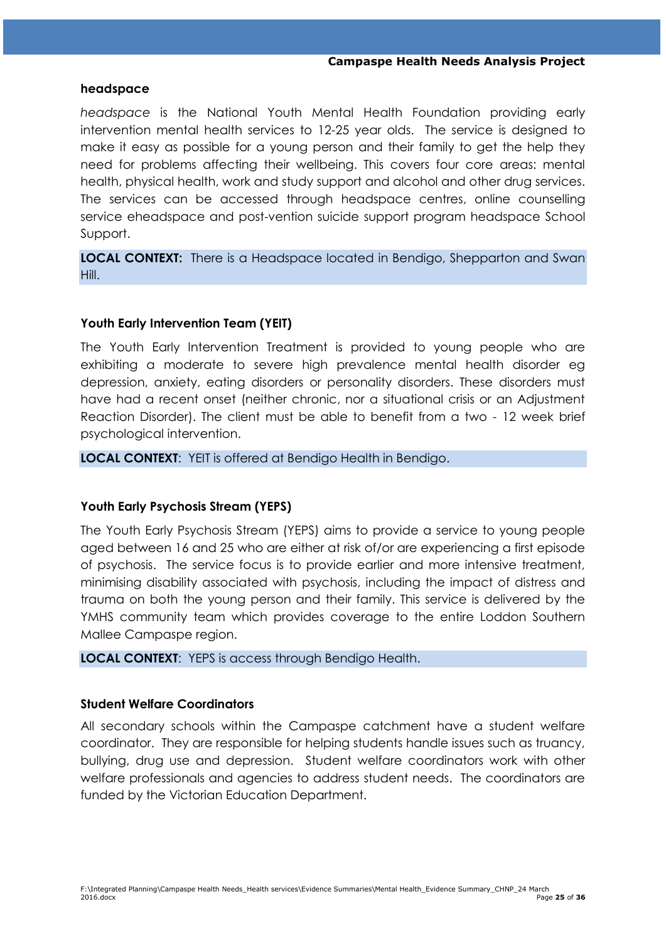#### **headspace**

*headspace* is the National Youth Mental Health Foundation providing early intervention mental health services to 12-25 year olds. The service is designed to make it easy as possible for a young person and their family to get the help they need for problems affecting their wellbeing. This covers four core areas: mental health, physical health, work and study support and alcohol and other drug services. The services can be accessed through headspace centres, online counselling service eheadspace and post-vention suicide support program headspace School Support.

**LOCAL CONTEXT:** There is a Headspace located in Bendigo, Shepparton and Swan Hill.

#### **Youth Early Intervention Team (YEIT)**

The Youth Early Intervention Treatment is provided to young people who are exhibiting a moderate to severe high prevalence mental health disorder eg depression, anxiety, eating disorders or personality disorders. These disorders must have had a recent onset (neither chronic, nor a situational crisis or an Adjustment Reaction Disorder). The client must be able to benefit from a two - 12 week brief psychological intervention.

**LOCAL CONTEXT**: YEIT is offered at Bendigo Health in Bendigo.

#### **Youth Early Psychosis Stream (YEPS)**

The Youth Early Psychosis Stream (YEPS) aims to provide a service to young people aged between 16 and 25 who are either at risk of/or are experiencing a first episode of psychosis. The service focus is to provide earlier and more intensive treatment, minimising disability associated with psychosis, including the impact of distress and trauma on both the young person and their family. This service is delivered by the YMHS community team which provides coverage to the entire Loddon Southern Mallee Campaspe region.

**LOCAL CONTEXT**: YEPS is access through Bendigo Health.

#### **Student Welfare Coordinators**

All secondary schools within the Campaspe catchment have a student welfare coordinator. They are responsible for helping students handle issues such as truancy, bullying, drug use and depression. Student welfare coordinators work with other welfare professionals and agencies to address student needs. The coordinators are funded by the Victorian Education Department.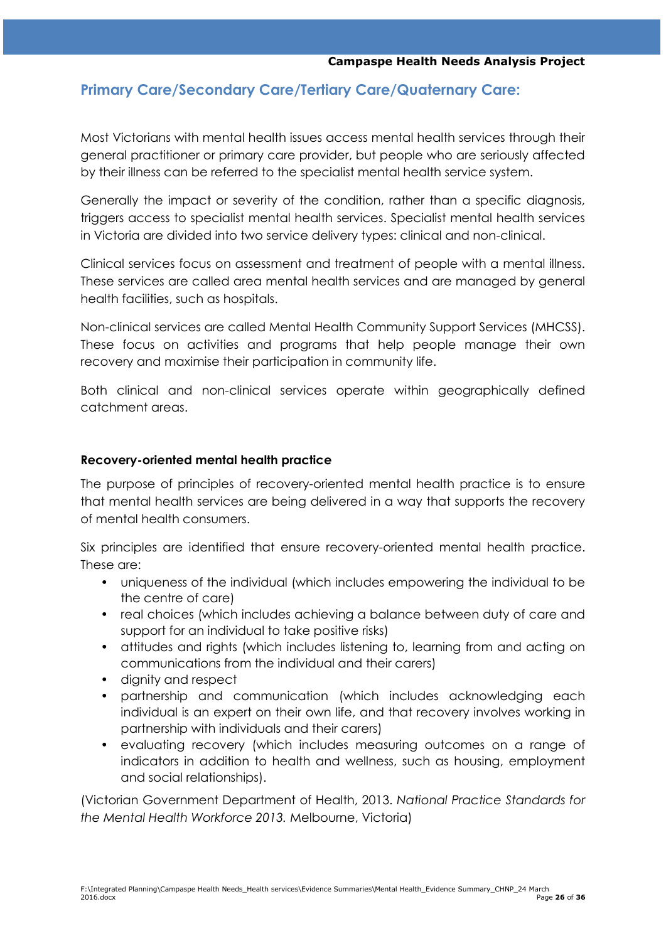## **Primary Care/Secondary Care/Tertiary Care/Quaternary Care:**

Most Victorians with mental health issues access mental health services through their general practitioner or primary care provider, but people who are seriously affected by their illness can be referred to the specialist mental health service system.

Generally the impact or severity of the condition, rather than a specific diagnosis, triggers access to specialist mental health services. Specialist mental health services in Victoria are divided into two service delivery types: clinical and non-clinical.

Clinical services focus on assessment and treatment of people with a mental illness. These services are called area mental health services and are managed by general health facilities, such as hospitals.

Non-clinical services are called Mental Health Community Support Services (MHCSS). These focus on activities and programs that help people manage their own recovery and maximise their participation in community life.

Both clinical and non-clinical services operate within geographically defined catchment areas.

#### **Recovery-oriented mental health practice**

The purpose of principles of recovery-oriented mental health practice is to ensure that mental health services are being delivered in a way that supports the recovery of mental health consumers.

Six principles are identified that ensure recovery-oriented mental health practice. These are:

- uniqueness of the individual (which includes empowering the individual to be the centre of care)
- real choices (which includes achieving a balance between duty of care and support for an individual to take positive risks)
- attitudes and rights (which includes listening to, learning from and acting on communications from the individual and their carers)
- dianity and respect
- partnership and communication (which includes acknowledging each individual is an expert on their own life, and that recovery involves working in partnership with individuals and their carers)
- evaluating recovery (which includes measuring outcomes on a range of indicators in addition to health and wellness, such as housing, employment and social relationships).

(Victorian Government Department of Health, 2013. *National Practice Standards for the Mental Health Workforce 2013.* Melbourne, Victoria)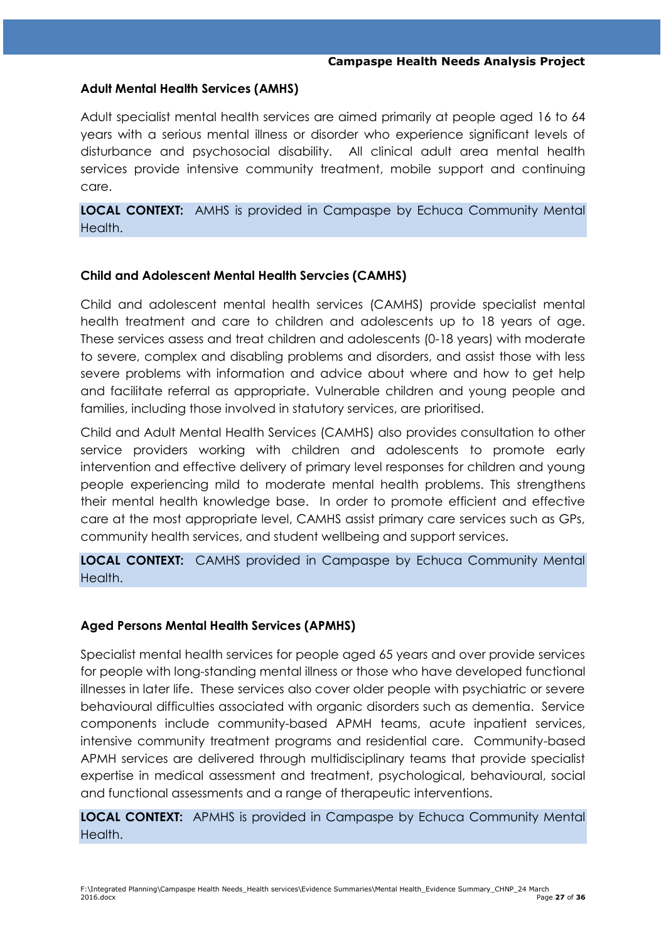#### **Adult Mental Health Services (AMHS)**

Adult specialist mental health services are aimed primarily at people aged 16 to 64 years with a serious mental illness or disorder who experience significant levels of disturbance and psychosocial disability. All clinical adult area mental health services provide intensive community treatment, mobile support and continuing care.

**LOCAL CONTEXT:** AMHS is provided in Campaspe by Echuca Community Mental Health.

#### **Child and Adolescent Mental Health Servcies (CAMHS)**

Child and adolescent mental health services (CAMHS) provide specialist mental health treatment and care to children and adolescents up to 18 years of age. These services assess and treat children and adolescents (0-18 years) with moderate to severe, complex and disabling problems and disorders, and assist those with less severe problems with information and advice about where and how to get help and facilitate referral as appropriate. Vulnerable children and young people and families, including those involved in statutory services, are prioritised.

Child and Adult Mental Health Services (CAMHS) also provides consultation to other service providers working with children and adolescents to promote early intervention and effective delivery of primary level responses for children and young people experiencing mild to moderate mental health problems. This strengthens their mental health knowledge base. In order to promote efficient and effective care at the most appropriate level, CAMHS assist primary care services such as GPs, community health services, and student wellbeing and support services.

**LOCAL CONTEXT:** CAMHS provided in Campaspe by Echuca Community Mental Health.

#### **Aged Persons Mental Health Services (APMHS)**

Specialist mental health services for people aged 65 years and over provide services for people with long-standing mental illness or those who have developed functional illnesses in later life. These services also cover older people with psychiatric or severe behavioural difficulties associated with organic disorders such as dementia. Service components include community-based APMH teams, acute inpatient services, intensive community treatment programs and residential care. Community-based APMH services are delivered through multidisciplinary teams that provide specialist expertise in medical assessment and treatment, psychological, behavioural, social and functional assessments and a range of therapeutic interventions.

**LOCAL CONTEXT:** APMHS is provided in Campaspe by Echuca Community Mental Health.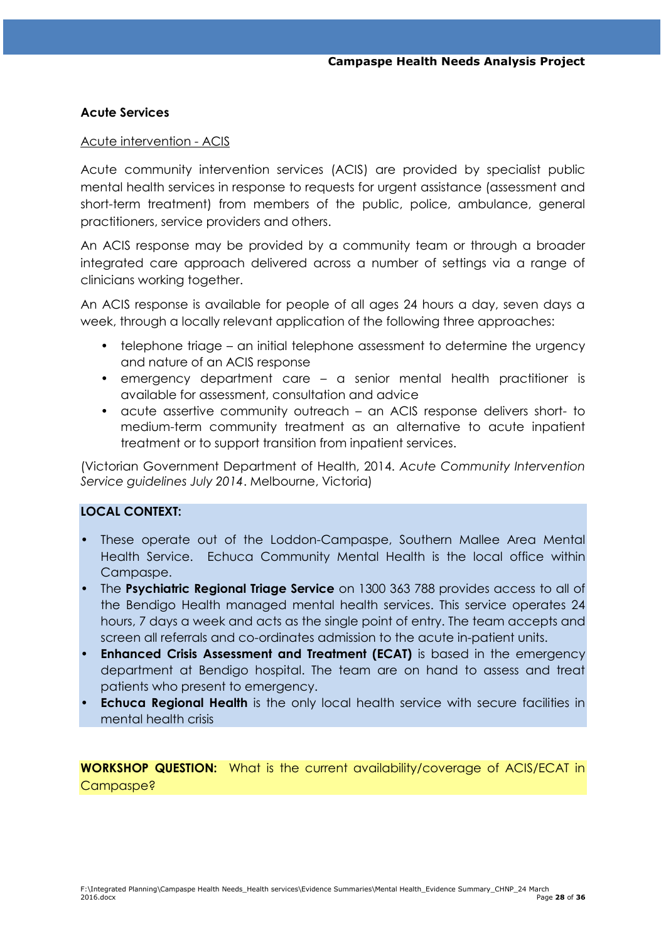#### **Acute Services**

#### Acute intervention - ACIS

Acute community intervention services (ACIS) are provided by specialist public mental health services in response to requests for urgent assistance (assessment and short-term treatment) from members of the public, police, ambulance, general practitioners, service providers and others.

An ACIS response may be provided by a community team or through a broader integrated care approach delivered across a number of settings via a range of clinicians working together.

An ACIS response is available for people of all ages 24 hours a day, seven days a week, through a locally relevant application of the following three approaches:

- telephone triage an initial telephone assessment to determine the urgency and nature of an ACIS response
- emergency department care a senior mental health practitioner is available for assessment, consultation and advice
- acute assertive community outreach an ACIS response delivers short- to medium-term community treatment as an alternative to acute inpatient treatment or to support transition from inpatient services.

(Victorian Government Department of Health, 2014. *Acute Community Intervention Service guidelines July 2014*. Melbourne, Victoria)

### **LOCAL CONTEXT:**

- These operate out of the Loddon-Campaspe, Southern Mallee Area Mental Health Service. Echuca Community Mental Health is the local office within Campaspe.
- The **Psychiatric Regional Triage Service** on 1300 363 788 provides access to all of the Bendigo Health managed mental health services. This service operates 24 hours, 7 days a week and acts as the single point of entry. The team accepts and screen all referrals and co-ordinates admission to the acute in-patient units.
- **Enhanced Crisis Assessment and Treatment (ECAT)** is based in the emergency department at Bendigo hospital. The team are on hand to assess and treat patients who present to emergency.
- **Echuca Regional Health** is the only local health service with secure facilities in mental health crisis

**WORKSHOP QUESTION:** What is the current availability/coverage of ACIS/ECAT in Campaspe?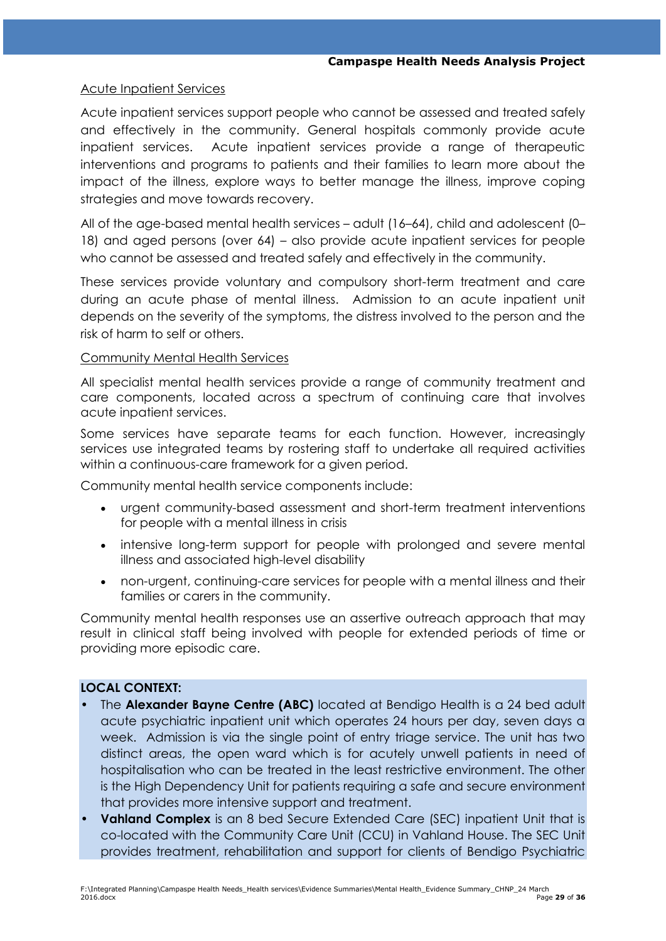#### Acute Inpatient Services

Acute inpatient services support people who cannot be assessed and treated safely and effectively in the community. General hospitals commonly provide acute inpatient services. Acute inpatient services provide a range of therapeutic interventions and programs to patients and their families to learn more about the impact of the illness, explore ways to better manage the illness, improve coping strategies and move towards recovery.

All of the age-based mental health services – adult (16–64), child and adolescent (0– 18) and aged persons (over 64) – also provide acute inpatient services for people who cannot be assessed and treated safely and effectively in the community.

These services provide voluntary and compulsory short-term treatment and care during an acute phase of mental illness. Admission to an acute inpatient unit depends on the severity of the symptoms, the distress involved to the person and the risk of harm to self or others.

#### Community Mental Health Services

All specialist mental health services provide a range of community treatment and care components, located across a spectrum of continuing care that involves acute inpatient services.

Some services have separate teams for each function. However, increasingly services use integrated teams by rostering staff to undertake all required activities within a continuous-care framework for a given period.

Community mental health service components include:

- urgent community-based assessment and short-term treatment interventions for people with a mental illness in crisis
- intensive long-term support for people with prolonged and severe mental illness and associated high-level disability
- non-urgent, continuing-care services for people with a mental illness and their families or carers in the community.

Community mental health responses use an assertive outreach approach that may result in clinical staff being involved with people for extended periods of time or providing more episodic care.

#### **LOCAL CONTEXT:**

- The **Alexander Bayne Centre (ABC)** located at Bendigo Health is a 24 bed adult acute psychiatric inpatient unit which operates 24 hours per day, seven days a week. Admission is via the single point of entry triage service. The unit has two distinct areas, the open ward which is for acutely unwell patients in need of hospitalisation who can be treated in the least restrictive environment. The other is the High Dependency Unit for patients requiring a safe and secure environment that provides more intensive support and treatment.
- **Vahland Complex** is an 8 bed Secure Extended Care (SEC) inpatient Unit that is co-located with the Community Care Unit (CCU) in Vahland House. The SEC Unit provides treatment, rehabilitation and support for clients of Bendigo Psychiatric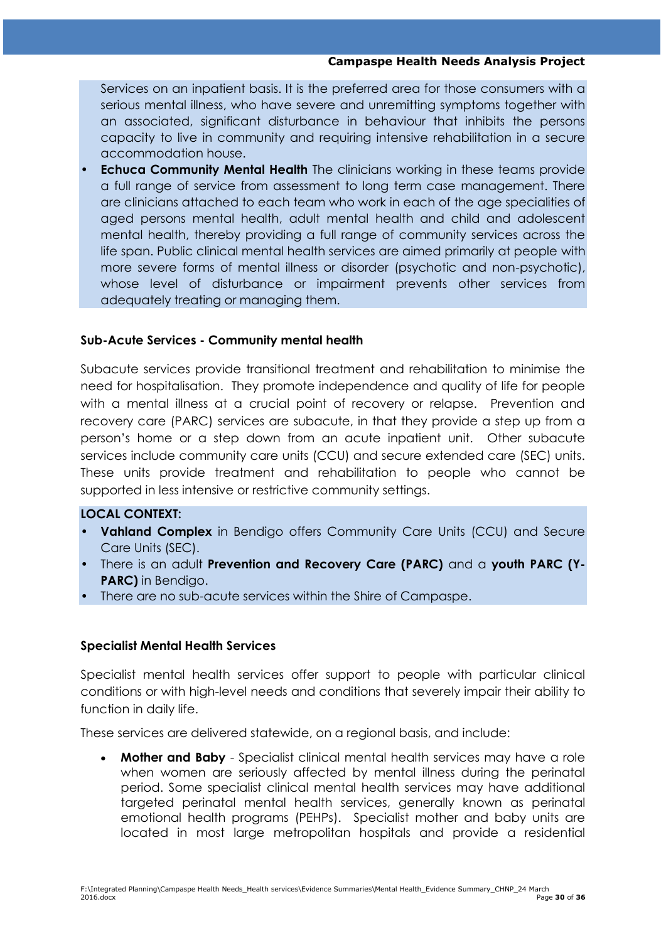Services on an inpatient basis. It is the preferred area for those consumers with a serious mental illness, who have severe and unremitting symptoms together with an associated, significant disturbance in behaviour that inhibits the persons capacity to live in community and requiring intensive rehabilitation in a secure accommodation house.

• **Echuca Community Mental Health** The clinicians working in these teams provide a full range of service from assessment to long term case management. There are clinicians attached to each team who work in each of the age specialities of aged persons mental health, adult mental health and child and adolescent mental health, thereby providing a full range of community services across the life span. Public clinical mental health services are aimed primarily at people with more severe forms of mental illness or disorder (psychotic and non-psychotic), whose level of disturbance or impairment prevents other services from adequately treating or managing them.

#### **Sub-Acute Services - Community mental health**

Subacute services provide transitional treatment and rehabilitation to minimise the need for hospitalisation. They promote independence and quality of life for people with a mental illness at a crucial point of recovery or relapse. Prevention and recovery care (PARC) services are subacute, in that they provide a step up from a person"s home or a step down from an acute inpatient unit. Other subacute services include community care units (CCU) and secure extended care (SEC) units. These units provide treatment and rehabilitation to people who cannot be supported in less intensive or restrictive community settings.

#### **LOCAL CONTEXT:**

- **Vahland Complex** in Bendigo offers Community Care Units (CCU) and Secure Care Units (SEC).
- There is an adult **Prevention and Recovery Care (PARC)** and a **youth PARC (Y-PARC)** in Bendigo.
- There are no sub-acute services within the Shire of Campaspe.

#### **Specialist Mental Health Services**

Specialist mental health services offer support to people with particular clinical conditions or with high-level needs and conditions that severely impair their ability to function in daily life.

These services are delivered statewide, on a regional basis, and include:

 **Mother and Baby** - Specialist clinical mental health services may have a role when women are seriously affected by mental illness during the perinatal period. Some specialist clinical mental health services may have additional targeted perinatal mental health services, generally known as perinatal emotional health programs (PEHPs). Specialist mother and baby units are located in most large metropolitan hospitals and provide a residential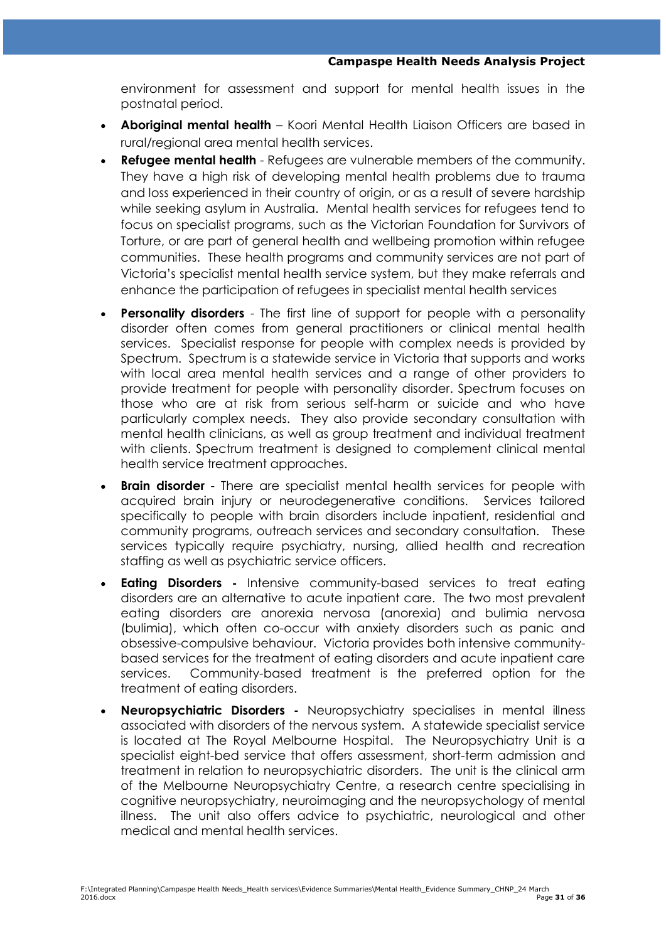environment for assessment and support for mental health issues in the postnatal period.

- **Aboriginal mental health** Koori Mental Health Liaison Officers are based in rural/regional area mental health services.
- **Refugee mental health** Refugees are vulnerable members of the community. They have a high risk of developing mental health problems due to trauma and loss experienced in their country of origin, or as a result of severe hardship while seeking asylum in Australia. Mental health services for refugees tend to focus on specialist programs, such as the Victorian Foundation for Survivors of Torture, or are part of general health and wellbeing promotion within refugee communities. These health programs and community services are not part of Victoria"s specialist mental health service system, but they make referrals and enhance the participation of refugees in specialist mental health services
- **Personality disorders** The first line of support for people with a personality disorder often comes from general practitioners or clinical mental health services. Specialist response for people with complex needs is provided by Spectrum. Spectrum is a statewide service in Victoria that supports and works with local area mental health services and a range of other providers to provide treatment for people with personality disorder. Spectrum focuses on those who are at risk from serious self-harm or suicide and who have particularly complex needs. They also provide secondary consultation with mental health clinicians, as well as group treatment and individual treatment with clients. Spectrum treatment is designed to complement clinical mental health service treatment approaches.
- **Brain disorder** There are specialist mental health services for people with acquired brain injury or neurodegenerative conditions. Services tailored specifically to people with brain disorders include inpatient, residential and community programs, outreach services and secondary consultation. These services typically require psychiatry, nursing, allied health and recreation staffing as well as psychiatric service officers.
- **Eating Disorders -** Intensive community-based services to treat eating disorders are an alternative to acute inpatient care. The two most prevalent eating disorders are anorexia nervosa (anorexia) and bulimia nervosa (bulimia), which often co-occur with anxiety disorders such as panic and obsessive-compulsive behaviour. Victoria provides both intensive communitybased services for the treatment of eating disorders and acute inpatient care services. Community-based treatment is the preferred option for the treatment of eating disorders.
- **Neuropsychiatric Disorders -** Neuropsychiatry specialises in mental illness associated with disorders of the nervous system. A statewide specialist service is located at The Royal Melbourne Hospital. The Neuropsychiatry Unit is a specialist eight-bed service that offers assessment, short-term admission and treatment in relation to neuropsychiatric disorders. The unit is the clinical arm of the Melbourne Neuropsychiatry Centre, a research centre specialising in cognitive neuropsychiatry, neuroimaging and the neuropsychology of mental illness. The unit also offers advice to psychiatric, neurological and other medical and mental health services.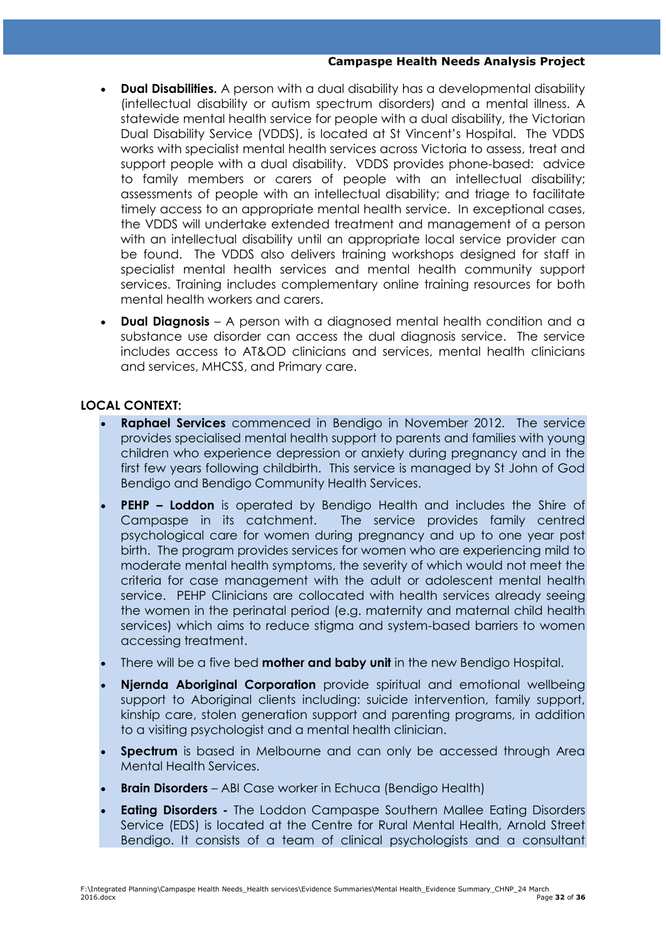#### **Campaspe Health Needs Analysis Project**

- **Dual Disabilities.** A person with a dual disability has a developmental disability (intellectual disability or autism spectrum disorders) and a mental illness. A statewide mental health service for people with a dual disability, the Victorian Dual Disability Service (VDDS), is located at St Vincent"s Hospital. The VDDS works with specialist mental health services across Victoria to assess, treat and support people with a dual disability. VDDS provides phone-based: advice to family members or carers of people with an intellectual disability; assessments of people with an intellectual disability; and triage to facilitate timely access to an appropriate mental health service. In exceptional cases, the VDDS will undertake extended treatment and management of a person with an intellectual disability until an appropriate local service provider can be found. The VDDS also delivers training workshops designed for staff in specialist mental health services and mental health community support services. Training includes complementary online training resources for both mental health workers and carers.
- **Dual Diagnosis** A person with a diagnosed mental health condition and a substance use disorder can access the dual diagnosis service. The service includes access to AT&OD clinicians and services, mental health clinicians and services, MHCSS, and Primary care.

### **LOCAL CONTEXT:**

- **Raphael Services** commenced in Bendigo in November 2012. The service provides specialised mental health support to parents and families with young children who experience depression or anxiety during pregnancy and in the first few years following childbirth. This service is managed by St John of God Bendigo and Bendigo Community Health Services.
- **PEHP – Loddon** is operated by Bendigo Health and includes the Shire of Campaspe in its catchment. The service provides family centred psychological care for women during pregnancy and up to one year post birth. The program provides services for women who are experiencing mild to moderate mental health symptoms, the severity of which would not meet the criteria for case management with the adult or adolescent mental health service. PEHP Clinicians are collocated with health services already seeing the women in the perinatal period (e.g. maternity and maternal child health services) which aims to reduce stigma and system-based barriers to women accessing treatment.
- There will be a five bed **mother and baby unit** in the new Bendigo Hospital.
- **Njernda Aboriginal Corporation** provide spiritual and emotional wellbeing support to Aboriginal clients including: suicide intervention, family support, kinship care, stolen generation support and parenting programs, in addition to a visiting psychologist and a mental health clinician.
- **Spectrum** is based in Melbourne and can only be accessed through Area Mental Health Services.
- **Brain Disorders**  ABI Case worker in Echuca (Bendigo Health)
- **Eating Disorders -** The Loddon Campaspe Southern Mallee Eating Disorders Service (EDS) is located at the Centre for Rural Mental Health, Arnold Street Bendigo. It consists of a team of clinical psychologists and a consultant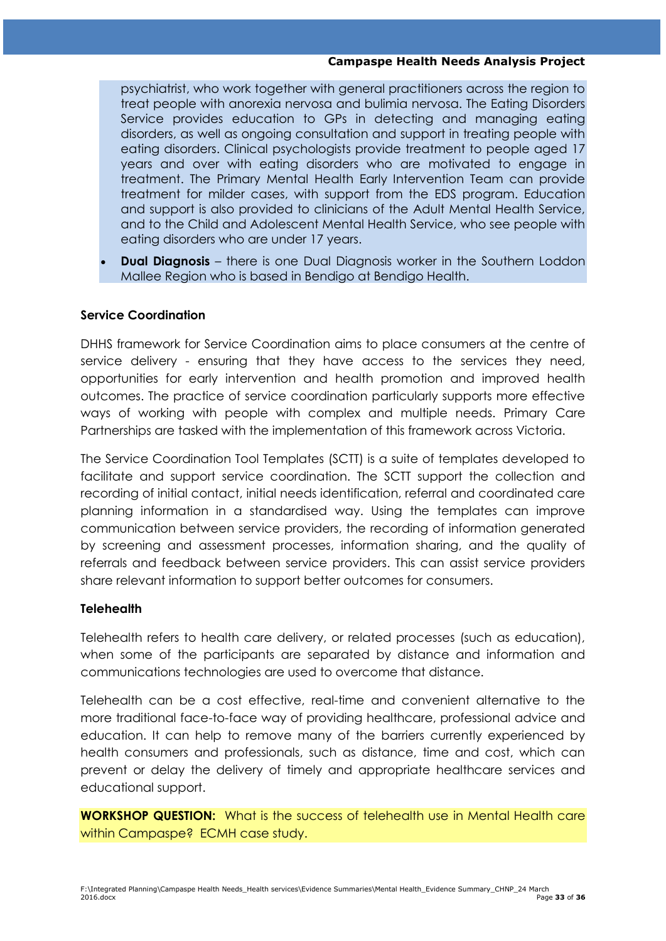#### **Campaspe Health Needs Analysis Project**

psychiatrist, who work together with general practitioners across the region to treat people with anorexia nervosa and bulimia nervosa. The Eating Disorders Service provides education to GPs in detecting and managing eating disorders, as well as ongoing consultation and support in treating people with eating disorders. Clinical psychologists provide treatment to people aged 17 years and over with eating disorders who are motivated to engage in treatment. The Primary Mental Health Early Intervention Team can provide treatment for milder cases, with support from the EDS program. Education and support is also provided to clinicians of the Adult Mental Health Service, and to the Child and Adolescent Mental Health Service, who see people with eating disorders who are under 17 years.

**Dual Diagnosis** – there is one Dual Diagnosis worker in the Southern Loddon Mallee Region who is based in Bendigo at Bendigo Health.

#### **Service Coordination**

DHHS framework for Service Coordination aims to place consumers at the centre of service delivery - ensuring that they have access to the services they need, opportunities for early intervention and health promotion and improved health outcomes. The practice of service coordination particularly supports more effective ways of working with people with complex and multiple needs. Primary Care Partnerships are tasked with the implementation of this framework across Victoria.

The Service Coordination Tool Templates (SCTT) is a suite of templates developed to facilitate and support service coordination. The SCTT support the collection and recording of initial contact, initial needs identification, referral and coordinated care planning information in a standardised way. Using the templates can improve communication between service providers, the recording of information generated by screening and assessment processes, information sharing, and the quality of referrals and feedback between service providers. This can assist service providers share relevant information to support better outcomes for consumers.

#### **Telehealth**

Telehealth refers to health care delivery, or related processes (such as education), when some of the participants are separated by distance and information and communications technologies are used to overcome that distance.

Telehealth can be a cost effective, real-time and convenient alternative to the more traditional face-to-face way of providing healthcare, professional advice and education. It can help to remove many of the barriers currently experienced by health consumers and professionals, such as distance, time and cost, which can prevent or delay the delivery of timely and appropriate healthcare services and educational support.

**WORKSHOP QUESTION:** What is the success of telehealth use in Mental Health care within Campaspe? ECMH case study.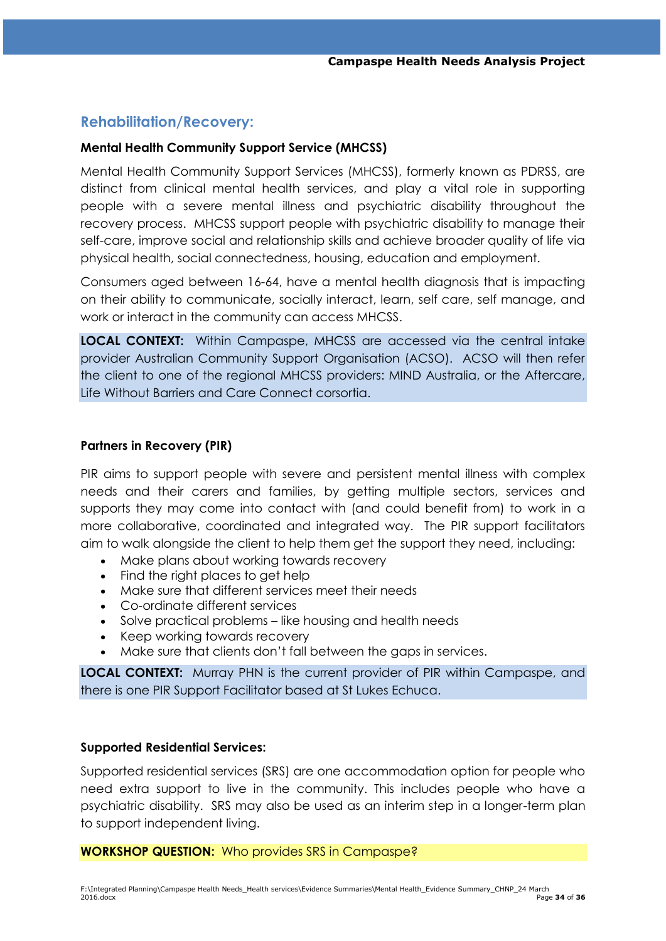## **Rehabilitation/Recovery:**

#### **Mental Health Community Support Service (MHCSS)**

Mental Health Community Support Services (MHCSS), formerly known as PDRSS, are distinct from clinical mental health services, and play a vital role in supporting people with a severe mental illness and psychiatric disability throughout the recovery process. MHCSS support people with psychiatric disability to manage their self-care, improve social and relationship skills and achieve broader quality of life via physical health, social connectedness, housing, education and employment.

Consumers aged between 16-64, have a mental health diagnosis that is impacting on their ability to communicate, socially interact, learn, self care, self manage, and work or interact in the community can access MHCSS.

**LOCAL CONTEXT:** Within Campaspe, MHCSS are accessed via the central intake provider Australian Community Support Organisation (ACSO). ACSO will then refer the client to one of the regional MHCSS providers: MIND Australia, or the Aftercare, Life Without Barriers and Care Connect corsortia.

#### **Partners in Recovery (PIR)**

PIR aims to support people with severe and persistent mental illness with complex needs and their carers and families, by getting multiple sectors, services and supports they may come into contact with (and could benefit from) to work in a more collaborative, coordinated and integrated way. The PIR support facilitators aim to walk alongside the client to help them get the support they need, including:

- Make plans about working towards recovery
- Find the right places to get help
- Make sure that different services meet their needs
- Co-ordinate different services
- Solve practical problems like housing and health needs
- Keep working towards recovery
- Make sure that clients don"t fall between the gaps in services.

**LOCAL CONTEXT:** Murray PHN is the current provider of PIR within Campaspe, and there is one PIR Support Facilitator based at St Lukes Echuca.

#### **Supported Residential Services:**

Supported residential services (SRS) are one accommodation option for people who need extra support to live in the community. This includes people who have a psychiatric disability. SRS may also be used as an interim step in a longer-term plan to support independent living.

#### **WORKSHOP QUESTION:** Who provides SRS in Campaspe?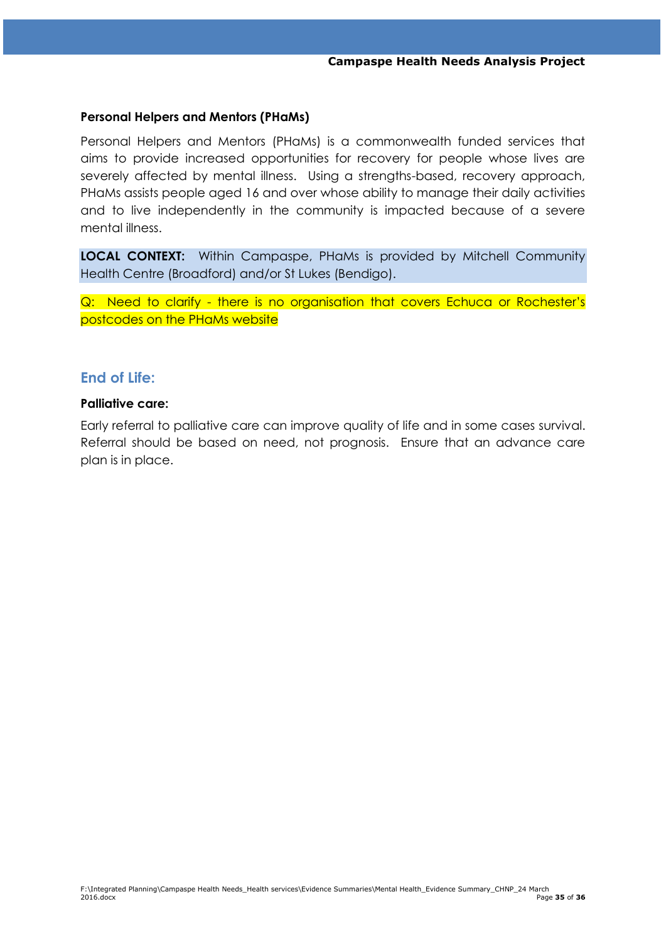#### **Personal Helpers and Mentors (PHaMs)**

Personal Helpers and Mentors (PHaMs) is a commonwealth funded services that aims to provide increased opportunities for recovery for people whose lives are severely affected by mental illness. Using a strengths-based, recovery approach, PHaMs assists people aged 16 and over whose ability to manage their daily activities and to live independently in the community is impacted because of a severe mental illness.

**LOCAL CONTEXT:** Within Campaspe, PHaMs is provided by Mitchell Community Health Centre (Broadford) and/or St Lukes (Bendigo).

Q: Need to clarify - there is no organisation that covers Echuca or Rochester's postcodes on the PHaMs website

## **End of Life:**

#### **Palliative care:**

Early referral to palliative care can improve quality of life and in some cases survival. Referral should be based on need, not prognosis. Ensure that an advance care plan is in place.